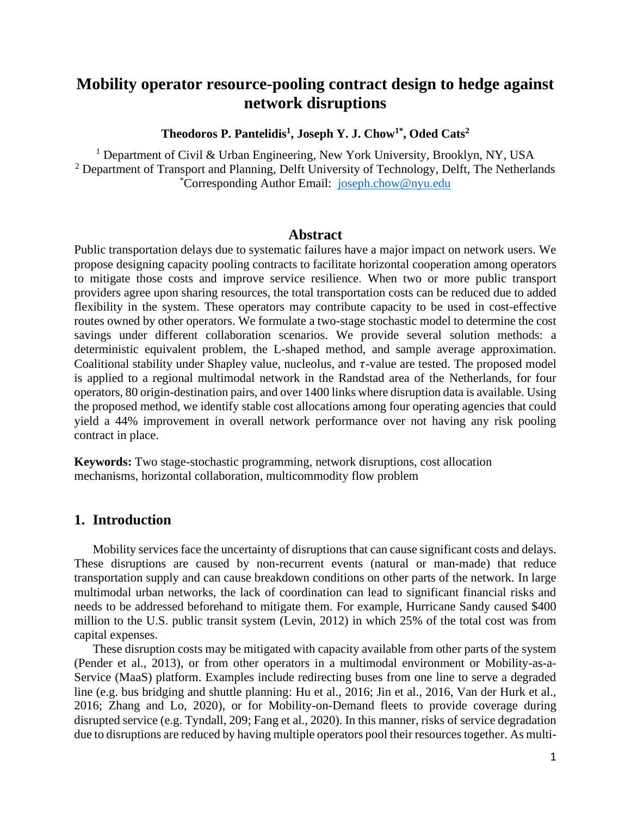# **Mobility operator resource-pooling contract design to hedge against network disruptions**

**Theodoros P. Pantelidis<sup>1</sup> , Joseph Y. J. Chow1\* , Oded Cats<sup>2</sup>**

<sup>1</sup> Department of Civil & Urban Engineering, New York University, Brooklyn, NY, USA <sup>2</sup> Department of Transport and Planning, Delft University of Technology, Delft, The Netherlands \*Corresponding Author Email: [joseph.chow@nyu.edu](mailto:joseph.chow@nyu.edu)

### **Abstract**

Public transportation delays due to systematic failures have a major impact on network users. We propose designing capacity pooling contracts to facilitate horizontal cooperation among operators to mitigate those costs and improve service resilience. When two or more public transport providers agree upon sharing resources, the total transportation costs can be reduced due to added flexibility in the system. These operators may contribute capacity to be used in cost-effective routes owned by other operators. We formulate a two-stage stochastic model to determine the cost savings under different collaboration scenarios. We provide several solution methods: a deterministic equivalent problem, the L-shaped method, and sample average approximation. Coalitional stability under Shapley value, nucleolus, and  $\tau$ -value are tested. The proposed model is applied to a regional multimodal network in the Randstad area of the Netherlands, for four operators, 80 origin-destination pairs, and over 1400 links where disruption data is available. Using the proposed method, we identify stable cost allocations among four operating agencies that could yield a 44% improvement in overall network performance over not having any risk pooling contract in place.

**Keywords:** Two stage-stochastic programming, network disruptions, cost allocation mechanisms, horizontal collaboration, multicommodity flow problem

## **1. Introduction**

Mobility services face the uncertainty of disruptions that can cause significant costs and delays. These disruptions are caused by non-recurrent events (natural or man-made) that reduce transportation supply and can cause breakdown conditions on other parts of the network. In large multimodal urban networks, the lack of coordination can lead to significant financial risks and needs to be addressed beforehand to mitigate them. For example, Hurricane Sandy caused \$400 million to the U.S. public transit system (Levin, 2012) in which 25% of the total cost was from capital expenses.

These disruption costs may be mitigated with capacity available from other parts of the system (Pender et al., 2013), or from other operators in a multimodal environment or Mobility-as-a-Service (MaaS) platform. Examples include redirecting buses from one line to serve a degraded line (e.g. bus bridging and shuttle planning: Hu et al., 2016; Jin et al., 2016, Van der Hurk et al., 2016; Zhang and Lo, 2020), or for Mobility-on-Demand fleets to provide coverage during disrupted service (e.g. Tyndall, 209; Fang et al., 2020). In this manner, risks of service degradation due to disruptions are reduced by having multiple operators pool their resources together. As multi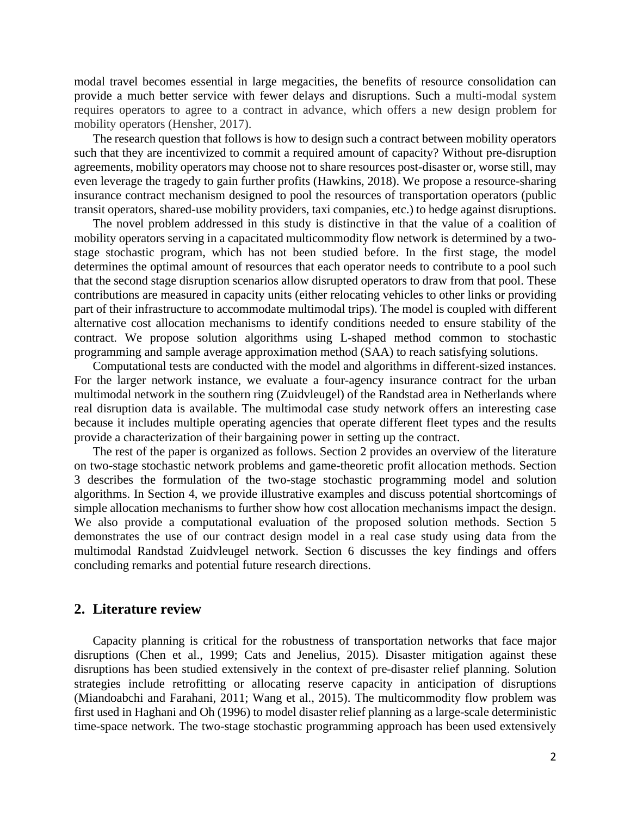modal travel becomes essential in large megacities, the benefits of resource consolidation can provide a much better service with fewer delays and disruptions. Such a multi-modal system requires operators to agree to a contract in advance, which offers a new design problem for mobility operators (Hensher, 2017).

The research question that follows is how to design such a contract between mobility operators such that they are incentivized to commit a required amount of capacity? Without pre-disruption agreements, mobility operators may choose not to share resources post-disaster or, worse still, may even leverage the tragedy to gain further profits (Hawkins, 2018). We propose a resource-sharing insurance contract mechanism designed to pool the resources of transportation operators (public transit operators, shared-use mobility providers, taxi companies, etc.) to hedge against disruptions.

The novel problem addressed in this study is distinctive in that the value of a coalition of mobility operators serving in a capacitated multicommodity flow network is determined by a twostage stochastic program, which has not been studied before. In the first stage, the model determines the optimal amount of resources that each operator needs to contribute to a pool such that the second stage disruption scenarios allow disrupted operators to draw from that pool. These contributions are measured in capacity units (either relocating vehicles to other links or providing part of their infrastructure to accommodate multimodal trips). The model is coupled with different alternative cost allocation mechanisms to identify conditions needed to ensure stability of the contract. We propose solution algorithms using L-shaped method common to stochastic programming and sample average approximation method (SAA) to reach satisfying solutions.

Computational tests are conducted with the model and algorithms in different-sized instances. For the larger network instance, we evaluate a four-agency insurance contract for the urban multimodal network in the southern ring (Zuidvleugel) of the Randstad area in Netherlands where real disruption data is available. The multimodal case study network offers an interesting case because it includes multiple operating agencies that operate different fleet types and the results provide a characterization of their bargaining power in setting up the contract.

The rest of the paper is organized as follows. Section 2 provides an overview of the literature on two-stage stochastic network problems and game-theoretic profit allocation methods. Section 3 describes the formulation of the two-stage stochastic programming model and solution algorithms. In Section 4, we provide illustrative examples and discuss potential shortcomings of simple allocation mechanisms to further show how cost allocation mechanisms impact the design. We also provide a computational evaluation of the proposed solution methods. Section 5 demonstrates the use of our contract design model in a real case study using data from the multimodal Randstad Zuidvleugel network. Section 6 discusses the key findings and offers concluding remarks and potential future research directions.

### **2. Literature review**

Capacity planning is critical for the robustness of transportation networks that face major disruptions (Chen et al., 1999; Cats and Jenelius, 2015). Disaster mitigation against these disruptions has been studied extensively in the context of pre-disaster relief planning. Solution strategies include retrofitting or allocating reserve capacity in anticipation of disruptions (Miandoabchi and Farahani, 2011; Wang et al., 2015). The multicommodity flow problem was first used in Haghani and Oh (1996) to model disaster relief planning as a large-scale deterministic time-space network. The two-stage stochastic programming approach has been used extensively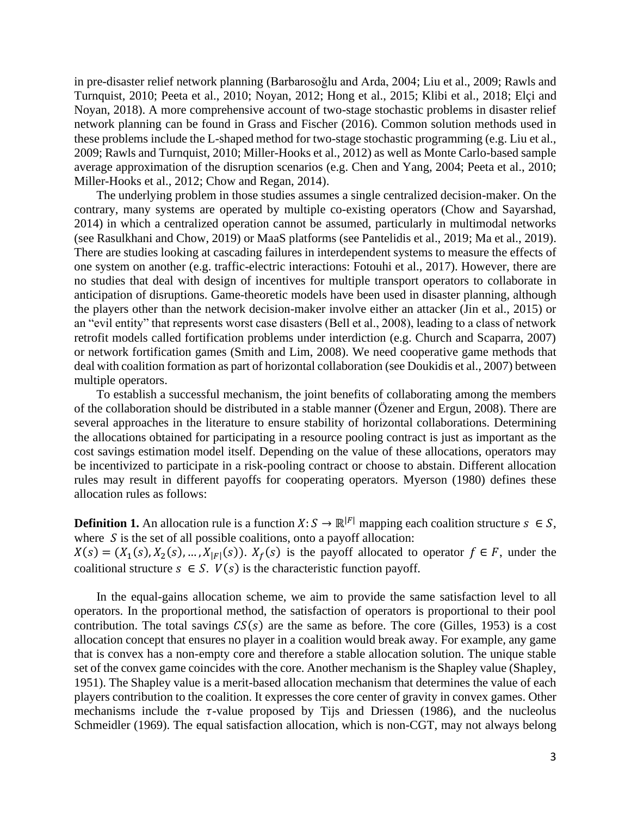in pre-disaster relief network planning (Barbarosoğlu and Arda, 2004; Liu et al., 2009; Rawls and Turnquist, 2010; Peeta et al., 2010; Noyan, 2012; Hong et al., 2015; Klibi et al., 2018; Elçi and Noyan, 2018). A more comprehensive account of two-stage stochastic problems in disaster relief network planning can be found in Grass and Fischer (2016). Common solution methods used in these problems include the L-shaped method for two-stage stochastic programming (e.g. Liu et al., 2009; Rawls and Turnquist, 2010; Miller-Hooks et al., 2012) as well as Monte Carlo-based sample average approximation of the disruption scenarios (e.g. Chen and Yang, 2004; Peeta et al., 2010; Miller-Hooks et al., 2012; Chow and Regan, 2014).

The underlying problem in those studies assumes a single centralized decision-maker. On the contrary, many systems are operated by multiple co-existing operators (Chow and Sayarshad, 2014) in which a centralized operation cannot be assumed, particularly in multimodal networks (see Rasulkhani and Chow, 2019) or MaaS platforms (see Pantelidis et al., 2019; Ma et al., 2019). There are studies looking at cascading failures in interdependent systems to measure the effects of one system on another (e.g. traffic-electric interactions: Fotouhi et al., 2017). However, there are no studies that deal with design of incentives for multiple transport operators to collaborate in anticipation of disruptions. Game-theoretic models have been used in disaster planning, although the players other than the network decision-maker involve either an attacker (Jin et al., 2015) or an "evil entity" that represents worst case disasters (Bell et al., 2008), leading to a class of network retrofit models called fortification problems under interdiction (e.g. Church and Scaparra, 2007) or network fortification games (Smith and Lim, 2008). We need cooperative game methods that deal with coalition formation as part of horizontal collaboration (see Doukidis et al., 2007) between multiple operators.

To establish a successful mechanism, the joint benefits of collaborating among the members of the collaboration should be distributed in a stable manner (Özener and Ergun, 2008). There are several approaches in the literature to ensure stability of horizontal collaborations. Determining the allocations obtained for participating in a resource pooling contract is just as important as the cost savings estimation model itself. Depending on the value of these allocations, operators may be incentivized to participate in a risk-pooling contract or choose to abstain. Different allocation rules may result in different payoffs for cooperating operators. Myerson (1980) defines these allocation rules as follows:

**Definition 1.** An allocation rule is a function  $X: S \to \mathbb{R}^{|F|}$  mapping each coalition structure  $s \in S$ , where  $S$  is the set of all possible coalitions, onto a payoff allocation:

 $X(s) = (X_1(s), X_2(s), ..., X_{|F|}(s)).$   $X_f(s)$  is the payoff allocated to operator  $f \in F$ , under the coalitional structure  $s \in S$ .  $V(s)$  is the characteristic function payoff.

In the equal-gains allocation scheme, we aim to provide the same satisfaction level to all operators. In the proportional method, the satisfaction of operators is proportional to their pool contribution. The total savings  $CS(s)$  are the same as before. The core (Gilles, 1953) is a cost allocation concept that ensures no player in a coalition would break away. For example, any game that is convex has a non-empty core and therefore a stable allocation solution. The unique stable set of the convex game coincides with the core. Another mechanism is the Shapley value (Shapley, 1951). The Shapley value is a merit-based allocation mechanism that determines the value of each players contribution to the coalition. It expresses the core center of gravity in convex games. Other mechanisms include the  $\tau$ -value proposed by Tijs and Driessen (1986), and the nucleolus Schmeidler (1969). The equal satisfaction allocation, which is non-CGT, may not always belong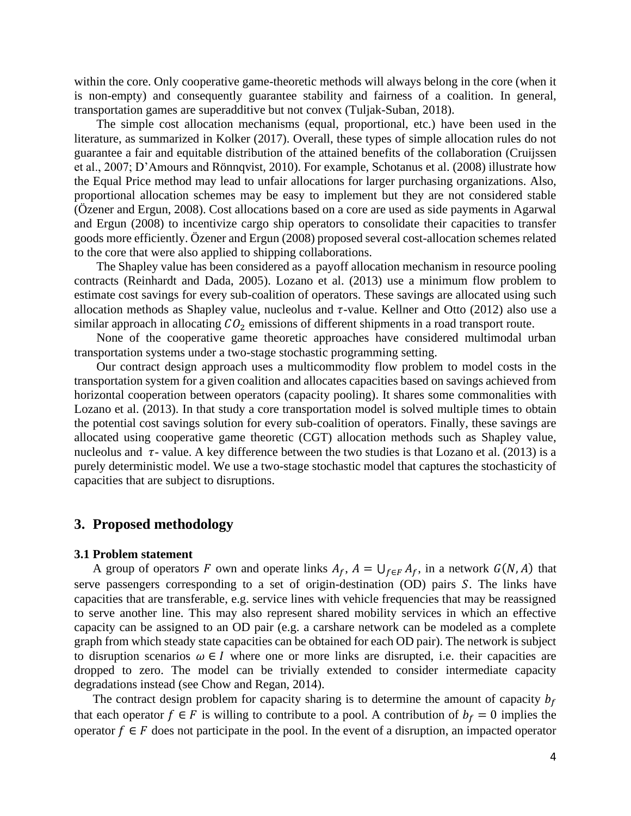within the core. Only cooperative game-theoretic methods will always belong in the core (when it is non-empty) and consequently guarantee stability and fairness of a coalition. In general, transportation games are superadditive but not convex (Tuljak-Suban, 2018).

The simple cost allocation mechanisms (equal, proportional, etc.) have been used in the literature, as summarized in Kolker (2017). Overall, these types of simple allocation rules do not guarantee a fair and equitable distribution of the attained benefits of the collaboration (Cruijssen et al., 2007; D'Amours and Rönnqvist, 2010). For example, Schotanus et al. (2008) illustrate how the Equal Price method may lead to unfair allocations for larger purchasing organizations. Also, proportional allocation schemes may be easy to implement but they are not considered stable (Özener and Ergun, 2008). Cost allocations based on a core are used as side payments in Agarwal and Ergun (2008) to incentivize cargo ship operators to consolidate their capacities to transfer goods more efficiently. Özener and Ergun (2008) proposed several cost-allocation schemes related to the core that were also applied to shipping collaborations.

The Shapley value has been considered as a payoff allocation mechanism in resource pooling contracts (Reinhardt and Dada, 2005). Lozano et al. (2013) use a minimum flow problem to estimate cost savings for every sub-coalition of operators. These savings are allocated using such allocation methods as Shapley value, nucleolus and  $\tau$ -value. Kellner and Otto (2012) also use a similar approach in allocating  $CO<sub>2</sub>$  emissions of different shipments in a road transport route.

None of the cooperative game theoretic approaches have considered multimodal urban transportation systems under a two-stage stochastic programming setting.

Our contract design approach uses a multicommodity flow problem to model costs in the transportation system for a given coalition and allocates capacities based on savings achieved from horizontal cooperation between operators (capacity pooling). It shares some commonalities with Lozano et al. (2013). In that study a core transportation model is solved multiple times to obtain the potential cost savings solution for every sub-coalition of operators. Finally, these savings are allocated using cooperative game theoretic (CGT) allocation methods such as Shapley value, nucleolus and  $\tau$ - value. A key difference between the two studies is that Lozano et al. (2013) is a purely deterministic model. We use a two-stage stochastic model that captures the stochasticity of capacities that are subject to disruptions.

### **3. Proposed methodology**

#### **3.1 Problem statement**

A group of operators F own and operate links  $A_f$ ,  $A = \bigcup_{f \in F} A_f$ , in a network  $G(N, A)$  that serve passengers corresponding to a set of origin-destination (OD) pairs S. The links have capacities that are transferable, e.g. service lines with vehicle frequencies that may be reassigned to serve another line. This may also represent shared mobility services in which an effective capacity can be assigned to an OD pair (e.g. a carshare network can be modeled as a complete graph from which steady state capacities can be obtained for each OD pair). The network is subject to disruption scenarios  $\omega \in I$  where one or more links are disrupted, i.e. their capacities are dropped to zero. The model can be trivially extended to consider intermediate capacity degradations instead (see Chow and Regan, 2014).

The contract design problem for capacity sharing is to determine the amount of capacity  $b_f$ that each operator  $f \in F$  is willing to contribute to a pool. A contribution of  $b_f = 0$  implies the operator  $f \in F$  does not participate in the pool. In the event of a disruption, an impacted operator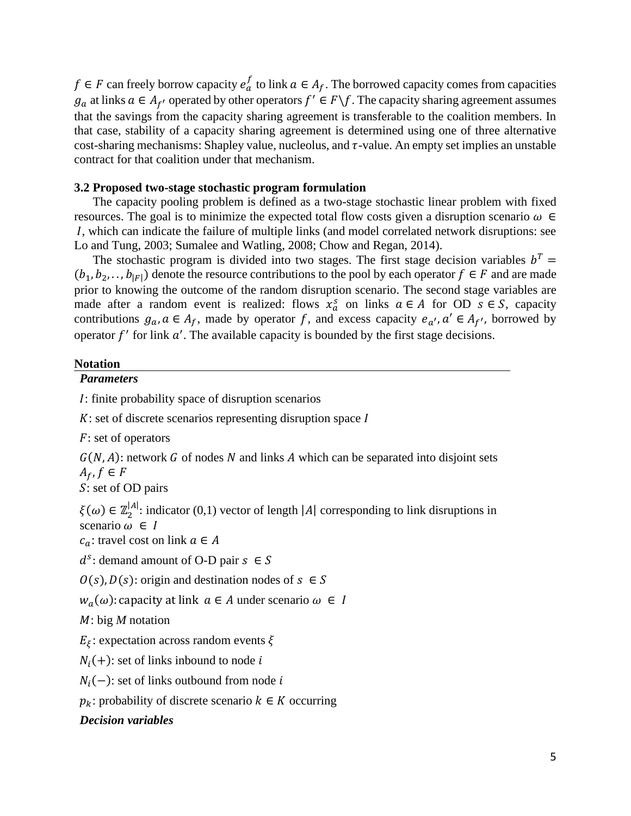$f \in F$  can freely borrow capacity  $e_a^f$  to link  $a \in A_f$ . The borrowed capacity comes from capacities  $g_a$  at links  $a \in A_{f'}$  operated by other operators  $f' \in F \backslash f$ . The capacity sharing agreement assumes that the savings from the capacity sharing agreement is transferable to the coalition members. In that case, stability of a capacity sharing agreement is determined using one of three alternative cost-sharing mechanisms: Shapley value, nucleolus, and  $\tau$ -value. An empty set implies an unstable contract for that coalition under that mechanism.

### **3.2 Proposed two-stage stochastic program formulation**

The capacity pooling problem is defined as a two-stage stochastic linear problem with fixed resources. The goal is to minimize the expected total flow costs given a disruption scenario  $\omega \in$ , which can indicate the failure of multiple links (and model correlated network disruptions: see Lo and Tung, 2003; Sumalee and Watling, 2008; Chow and Regan, 2014).

The stochastic program is divided into two stages. The first stage decision variables  $b^T =$  $(b_1, b_2, \ldots, b_{|F|})$  denote the resource contributions to the pool by each operator  $f \in F$  and are made prior to knowing the outcome of the random disruption scenario. The second stage variables are made after a random event is realized: flows  $x_a^s$  on links  $a \in A$  for OD  $s \in S$ , capacity contributions  $g_a$ ,  $a \in A_f$ , made by operator f, and excess capacity  $e_{a'}$ ,  $a' \in A_{f'}$ , borrowed by operator  $f'$  for link  $a'$ . The available capacity is bounded by the first stage decisions.

#### **Notation**

### *Parameters*

: finite probability space of disruption scenarios

 $K$ : set of discrete scenarios representing disruption space  $I$ 

 $F$ : set of operators

 $G(N, A)$ : network G of nodes N and links A which can be separated into disjoint sets  $A_f, f \in F$ 

: set of OD pairs

 $\xi(\omega) \in \mathbb{Z}_2^{|A|}$ : indicator (0,1) vector of length  $|A|$  corresponding to link disruptions in scenario  $\omega \in I$ 

 $c_a$ : travel cost on link  $a \in A$ 

 $d^s$ : demand amount of O-D pair  $s \in S$ 

 $Q(s)$ ,  $D(s)$ : origin and destination nodes of  $s \in S$ 

 $w_a(\omega)$ : capacity at link  $a \in A$  under scenario  $\omega \in I$ 

: big *M* notation

 $E_{\xi}$ : expectation across random events  $\xi$ 

 $N_i(+)$ : set of links inbound to node i

 $N_i(-)$ : set of links outbound from node *i* 

 $p_k$ : probability of discrete scenario  $k \in K$  occurring

### *Decision variables*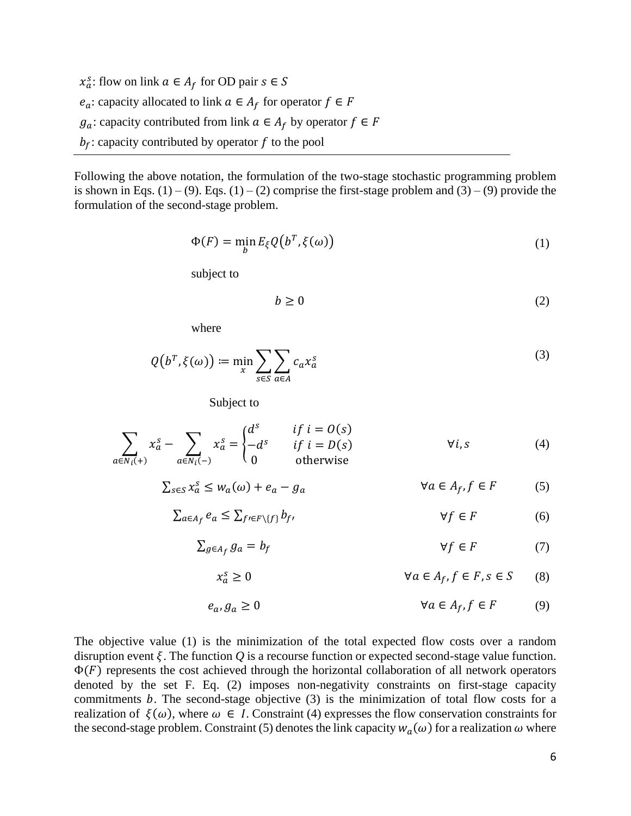$x_a^s$ : flow on link  $a \in A_f$  for OD pair  $s \in S$  $e_a$ : capacity allocated to link  $a \in A_f$  for operator  $f \in F$  $g_a$ : capacity contributed from link  $a \in A_f$  by operator  $f \in F$  $b_f$ : capacity contributed by operator f to the pool

Following the above notation, the formulation of the two-stage stochastic programming problem is shown in Eqs.  $(1) - (9)$ . Eqs.  $(1) - (2)$  comprise the first-stage problem and  $(3) - (9)$  provide the formulation of the second-stage problem.

$$
\Phi(F) = \min_{b} E_{\xi} Q(b^T, \xi(\omega))
$$
\n(1)

subject to

$$
b \ge 0 \tag{2}
$$

where

$$
Q(b^T, \xi(\omega)) \coloneqq \min_{x} \sum_{s \in S} \sum_{a \in A} c_a x_a^s \tag{3}
$$

Subject to

$$
\sum_{a \in N_i(+)} x_a^s - \sum_{a \in N_i(-)} x_a^s = \begin{cases} d^s & \text{if } i = O(s) \\ -d^s & \text{if } i = D(s) \\ 0 & \text{otherwise} \end{cases} \qquad \forall i, s \tag{4}
$$

$$
\sum_{s \in S} x_a^s \le w_a(\omega) + e_a - g_a \qquad \forall a \in A_f, f \in F \qquad (5)
$$

$$
\sum_{a \in A_f} e_a \le \sum_{f' \in F \setminus \{f\}} b_{f'} \qquad \qquad \forall f \in F \tag{6}
$$

$$
\sum_{g \in A_f} g_a = b_f \qquad \qquad \forall f \in F \tag{7}
$$

$$
x_a^s \ge 0 \qquad \qquad \forall a \in A_f, f \in F, s \in S \qquad (8)
$$

$$
e_a, g_a \ge 0 \qquad \qquad \forall a \in A_f, f \in F \qquad (9)
$$

The objective value (1) is the minimization of the total expected flow costs over a random disruption event  $\xi$ . The function  $Q$  is a recourse function or expected second-stage value function.  $\Phi(F)$  represents the cost achieved through the horizontal collaboration of all network operators denoted by the set F. Eq. (2) imposes non-negativity constraints on first-stage capacity commitments  $b$ . The second-stage objective  $(3)$  is the minimization of total flow costs for a realization of  $\xi(\omega)$ , where  $\omega \in I$ . Constraint (4) expresses the flow conservation constraints for the second-stage problem. Constraint (5) denotes the link capacity  $w_a(\omega)$  for a realization  $\omega$  where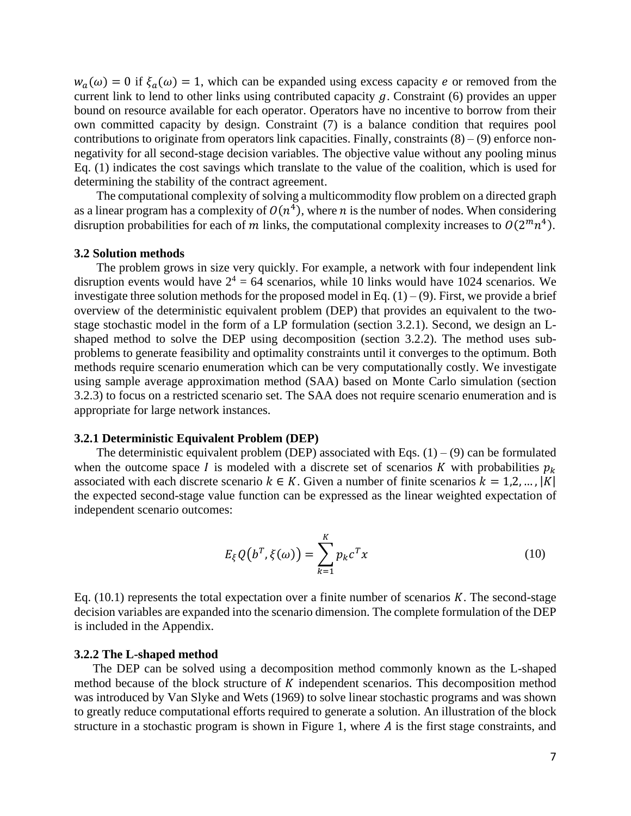$w_a(\omega) = 0$  if  $\xi_a(\omega) = 1$ , which can be expanded using excess capacity e or removed from the current link to lend to other links using contributed capacity  $g$ . Constraint (6) provides an upper bound on resource available for each operator. Operators have no incentive to borrow from their own committed capacity by design. Constraint (7) is a balance condition that requires pool contributions to originate from operators link capacities. Finally, constraints  $(8) - (9)$  enforce nonnegativity for all second-stage decision variables. The objective value without any pooling minus Eq. (1) indicates the cost savings which translate to the value of the coalition, which is used for determining the stability of the contract agreement.

The computational complexity of solving a multicommodity flow problem on a directed graph as a linear program has a complexity of  $O(n^4)$ , where *n* is the number of nodes. When considering disruption probabilities for each of m links, the computational complexity increases to  $O(2^mn^4)$ .

#### **3.2 Solution methods**

The problem grows in size very quickly. For example, a network with four independent link disruption events would have  $2^4 = 64$  scenarios, while 10 links would have 1024 scenarios. We investigate three solution methods for the proposed model in Eq.  $(1) - (9)$ . First, we provide a brief overview of the deterministic equivalent problem (DEP) that provides an equivalent to the twostage stochastic model in the form of a LP formulation (section 3.2.1). Second, we design an Lshaped method to solve the DEP using decomposition (section 3.2.2). The method uses subproblems to generate feasibility and optimality constraints until it converges to the optimum. Both methods require scenario enumeration which can be very computationally costly. We investigate using sample average approximation method (SAA) based on Monte Carlo simulation (section 3.2.3) to focus on a restricted scenario set. The SAA does not require scenario enumeration and is appropriate for large network instances.

#### **3.2.1 Deterministic Equivalent Problem (DEP)**

The deterministic equivalent problem (DEP) associated with Eqs.  $(1) - (9)$  can be formulated when the outcome space I is modeled with a discrete set of scenarios K with probabilities  $p_k$ associated with each discrete scenario  $k \in K$ . Given a number of finite scenarios  $k = 1, 2, ..., |K|$ the expected second-stage value function can be expressed as the linear weighted expectation of independent scenario outcomes:

$$
E_{\xi}Q(b^T,\xi(\omega)) = \sum_{k=1}^{K} p_k c^T x \qquad (10)
$$

Eq.  $(10.1)$  represents the total expectation over a finite number of scenarios K. The second-stage decision variables are expanded into the scenario dimension. The complete formulation of the DEP is included in the Appendix.

### **3.2.2 The L-shaped method**

The DEP can be solved using a decomposition method commonly known as the L-shaped method because of the block structure of  $K$  independent scenarios. This decomposition method was introduced by Van Slyke and Wets (1969) to solve linear stochastic programs and was shown to greatly reduce computational efforts required to generate a solution. An illustration of the block structure in a stochastic program is shown in Figure 1, where  $A$  is the first stage constraints, and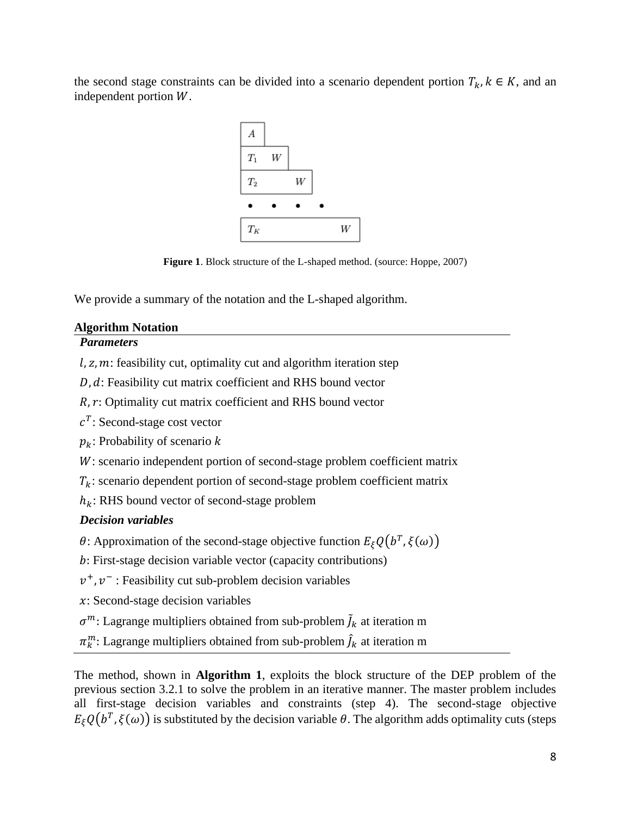the second stage constraints can be divided into a scenario dependent portion  $T_k$ ,  $k \in K$ , and an independent portion  $W$ .



**Figure 1.** Block structure of the L-shaped method. (source: Hoppe, 2007)

We provide a summary of the notation and the L-shaped algorithm.

# **Algorithm Notation**

# *Parameters*

 $l, z, m$ : feasibility cut, optimality cut and algorithm iteration step

 $D, d$ : Feasibility cut matrix coefficient and RHS bound vector

 $R, r$ : Optimality cut matrix coefficient and RHS bound vector

 $c^T$ : Second-stage cost vector

 $p_k$ : Probability of scenario k

W: scenario independent portion of second-stage problem coefficient matrix

 $T_k$ : scenario dependent portion of second-stage problem coefficient matrix

 $h_k$ : RHS bound vector of second-stage problem

# *Decision variables*

 $\theta$ : Approximation of the second-stage objective function  $E_{\xi}Q(b^T,\xi(\omega))$ 

: First-stage decision variable vector (capacity contributions)

 $v^+$ ,  $v^-$ : Feasibility cut sub-problem decision variables

 $x$ : Second-stage decision variables

 $\sigma^m$ : Lagrange multipliers obtained from sub-problem  $\tilde{J}_k$  at iteration m

 $\pi^m_k$ : Lagrange multipliers obtained from sub-problem  $\widehat{J}_k$  at iteration m

The method, shown in **Algorithm 1**, exploits the block structure of the DEP problem of the previous section 3.2.1 to solve the problem in an iterative manner. The master problem includes all first-stage decision variables and constraints (step 4). The second-stage objective  $E_{\xi}Q(b^T,\xi(\omega))$  is substituted by the decision variable  $\theta$ . The algorithm adds optimality cuts (steps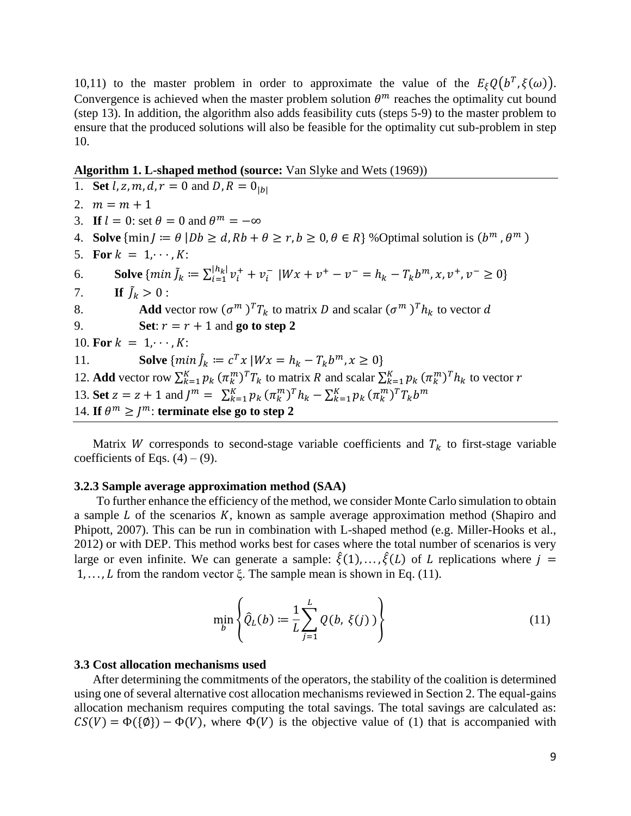10,11) to the master problem in order to approximate the value of the  $E_{\xi}Q(b^T, \xi(\omega))$ . Convergence is achieved when the master problem solution  $\theta^m$  reaches the optimality cut bound (step 13). In addition, the algorithm also adds feasibility cuts (steps 5-9) to the master problem to ensure that the produced solutions will also be feasible for the optimality cut sub-problem in step 10.

**Algorithm 1. L-shaped method (source:** Van Slyke and Wets (1969))

1. **Set**  $l, z, m, d, r = 0$  and  $D, R = 0_{|h|}$ 2.  $m = m + 1$ 3. **If**  $l = 0$ : set  $\theta = 0$  and  $\theta^m = -\infty$ 4. **Solve**  $\{\min J := \theta \mid Db \ge d, Rb + \theta \ge r, b \ge 0, \theta \in R\}$  % Optimal solution is  $(b^m, \theta^m)$ 5. **For**  $k = 1, \dots, K$ : 6. **Solve**  $\{ min \tilde{J}_k := \sum_{i=1}^{|h_k|} v_i^+ + v_i^- \}$  $|h_k| v_i^+ + v_i^- |Wx + v^+ - v^- = h_k - T_k b^m, x, v^+, v^- \ge 0$ 7. **If**  $\tilde{J}_k > 0$ : 8. **Add** vector row  $(\sigma^m)^T T_k$  to matrix D and scalar  $(\sigma^m)^T h_k$  to vector d 9. **Set**:  $r = r + 1$  and **go to step 2** 10. **For**  $k = 1, \dots, K$ : 11. **Solve**  $\{\min \hat{J}_k := c^T x \mid Wx = h_k - T_k b^m, x \ge 0\}$ 12. **Add** vector row  $\sum_{k=1}^{K} p_k (\pi_k^m)^T T_k$  to matrix R and scalar  $\sum_{k=1}^{K} p_k (\pi_k^m)^T h_k$  to vector r 13. **Set**  $z = z + 1$  and  $J^m = \sum_{k=1}^K p_k (\pi_k^m)^T h_k - \sum_{k=1}^K p_k (\pi_k^m)^T T_k b^m$ 14. If  $\theta^m \geq J^m$ : terminate else go to step 2

Matrix W corresponds to second-stage variable coefficients and  $T_k$  to first-stage variable coefficients of Eqs.  $(4) - (9)$ .

### **3.2.3 Sample average approximation method (SAA)**

To further enhance the efficiency of the method, we consider Monte Carlo simulation to obtain a sample  $L$  of the scenarios  $K$ , known as sample average approximation method (Shapiro and Phipott, 2007). This can be run in combination with L-shaped method (e.g. Miller-Hooks et al., 2012) or with DEP. This method works best for cases where the total number of scenarios is very large or even infinite. We can generate a sample:  $\hat{\xi}(1),...,\hat{\xi}(L)$  of L replications where  $i =$ 1, ..., *L* from the random vector  $\xi$ . The sample mean is shown in Eq. (11).

$$
\min_{b} \left\{ \hat{Q}_{L}(b) := \frac{1}{L} \sum_{j=1}^{L} Q(b, \xi(j)) \right\}
$$
 (11)

### **3.3 Cost allocation mechanisms used**

After determining the commitments of the operators, the stability of the coalition is determined using one of several alternative cost allocation mechanisms reviewed in Section 2. The equal-gains allocation mechanism requires computing the total savings. The total savings are calculated as:  $CS(V) = \Phi({\emptyset}) - \Phi(V)$ , where  $\Phi(V)$  is the objective value of (1) that is accompanied with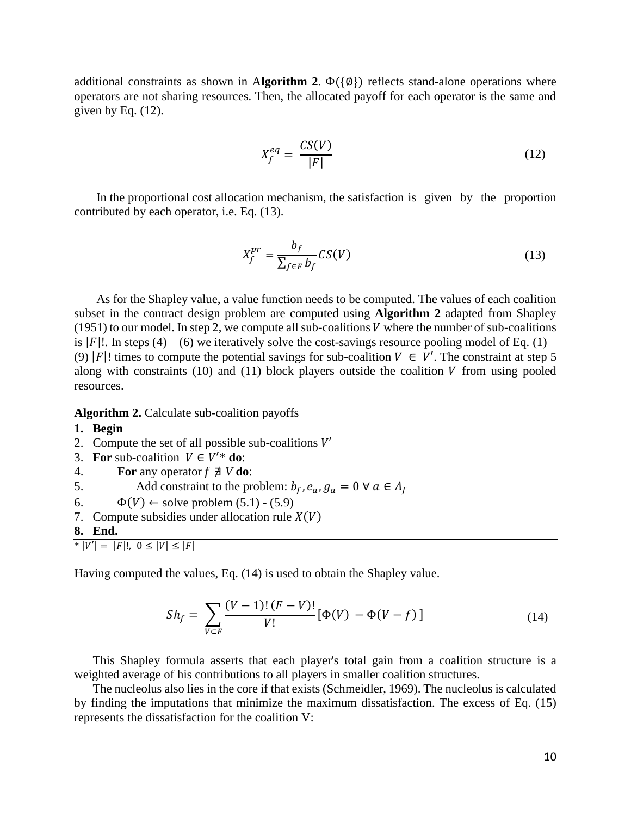additional constraints as shown in Algorithm 2.  $\Phi({\emptyset})$  reflects stand-alone operations where operators are not sharing resources. Then, the allocated payoff for each operator is the same and given by Eq. (12).

$$
X_f^{eq} = \frac{CS(V)}{|F|} \tag{12}
$$

In the proportional cost allocation mechanism, the satisfaction is given by the proportion contributed by each operator, i.e. Eq. (13).

$$
X_f^{pr} = \frac{b_f}{\sum_{f \in F} b_f} \mathcal{CS}(V) \tag{13}
$$

As for the Shapley value, a value function needs to be computed. The values of each coalition subset in the contract design problem are computed using **Algorithm 2** adapted from Shapley (1951) to our model. In step 2, we compute all sub-coalitions  $V$  where the number of sub-coalitions is |F|!. In steps (4) – (6) we iteratively solve the cost-savings resource pooling model of Eq. (1) – (9) |F|! times to compute the potential savings for sub-coalition  $V \in V'$ . The constraint at step 5 along with constraints (10) and (11) block players outside the coalition  $V$  from using pooled resources.

#### **Algorithm 2.** Calculate sub-coalition payoffs

- **1. Begin**
- 2. Compute the set of all possible sub-coalitions  $V'$
- 3. **For** sub-coalition  $V \in V'^*$  **do**:
- 4. **For** any operator *f* ∄ *V* **do**:
- 5. Add constraint to the problem:  $b_f$ ,  $e_a$ ,  $g_a = 0 \forall a \in A_f$
- 6.  $\Phi(V) \leftarrow$  solve problem (5.1) (5.9)
- 7. Compute subsidies under allocation rule  $X(V)$

**8. End.** 

 $*$   $|V'| = |F|!$ ,  $0 \leq |V| \leq |F|$ 

Having computed the values, Eq. (14) is used to obtain the Shapley value.

$$
Sh_f = \sum_{V \subset F} \frac{(V-1)!(F-V)!}{V!} [\Phi(V) - \Phi(V-f)] \tag{14}
$$

This Shapley formula asserts that each player's total gain from a coalition structure is a weighted average of his contributions to all players in smaller coalition structures.

The nucleolus also lies in the core if that exists (Schmeidler, 1969). The nucleolus is calculated by finding the imputations that minimize the maximum dissatisfaction. The excess of Eq. (15) represents the dissatisfaction for the coalition V: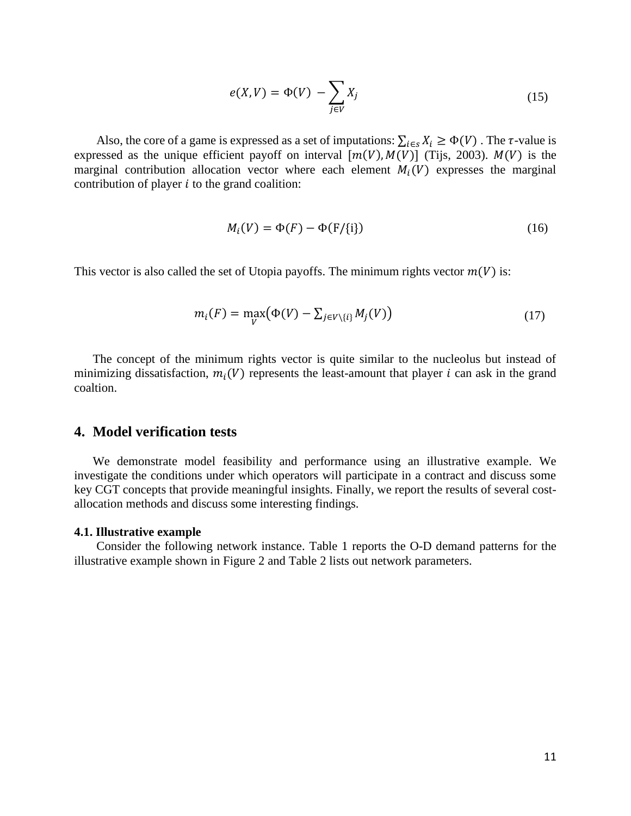$$
e(X,V) = \Phi(V) - \sum_{j \in V} X_j \tag{15}
$$

Also, the core of a game is expressed as a set of imputations:  $\sum_{i \in S} X_i \ge \Phi(V)$ . The  $\tau$ -value is expressed as the unique efficient payoff on interval  $[m(V), M(V)]$  (Tijs, 2003).  $M(V)$  is the marginal contribution allocation vector where each element  $M_i(V)$  expresses the marginal contribution of player  $i$  to the grand coalition:

$$
M_i(V) = \Phi(F) - \Phi(F/\{i\})\tag{16}
$$

This vector is also called the set of Utopia payoffs. The minimum rights vector  $m(V)$  is:

$$
m_i(F) = \max_{V} (\Phi(V) - \sum_{j \in V \setminus \{i\}} M_j(V)) \tag{17}
$$

The concept of the minimum rights vector is quite similar to the nucleolus but instead of minimizing dissatisfaction,  $m_i(V)$  represents the least-amount that player *i* can ask in the grand coaltion.

## **4. Model verification tests**

We demonstrate model feasibility and performance using an illustrative example. We investigate the conditions under which operators will participate in a contract and discuss some key CGT concepts that provide meaningful insights. Finally, we report the results of several costallocation methods and discuss some interesting findings.

#### **4.1. Illustrative example**

Consider the following network instance. Table 1 reports the O-D demand patterns for the illustrative example shown in Figure 2 and Table 2 lists out network parameters.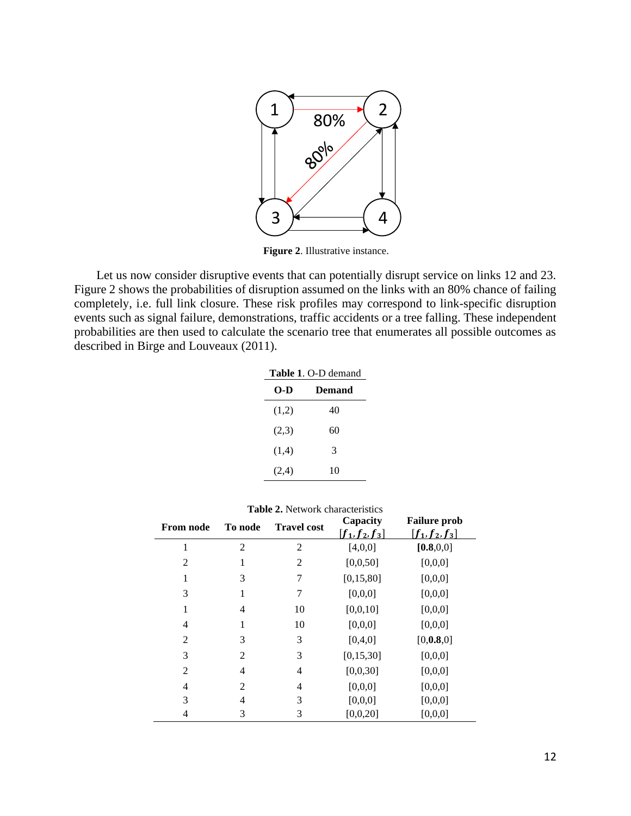

**Figure 2**. Illustrative instance.

Let us now consider disruptive events that can potentially disrupt service on links 12 and 23. Figure 2 shows the probabilities of disruption assumed on the links with an 80% chance of failing completely, i.e. full link closure. These risk profiles may correspond to link-specific disruption events such as signal failure, demonstrations, traffic accidents or a tree falling. These independent probabilities are then used to calculate the scenario tree that enumerates all possible outcomes as described in Birge and Louveaux (2011).

| <b>Table 1. O-D demand</b> |        |  |  |  |
|----------------------------|--------|--|--|--|
| O-D                        | Demand |  |  |  |
| (1,2)                      | 40     |  |  |  |
| (2,3)                      | 60     |  |  |  |
| (1,4)                      | 3      |  |  |  |
| (2,4)                      | 10     |  |  |  |

| <b>From node</b> | To node        | <b>Travel cost</b> | Capacity<br>$f_1, f_2, f_3$ | <b>Failure prob</b><br>$f_1, f_2, f_3$ |
|------------------|----------------|--------------------|-----------------------------|----------------------------------------|
| 1                | $\overline{c}$ | $\overline{2}$     | [4,0,0]                     | [0.8, 0.0]                             |
| $\overline{2}$   | 1              | 2                  | [0,0,50]                    | [0,0,0]                                |
| 1                | 3              | 7                  | [0, 15, 80]                 | [0,0,0]                                |
| 3                | 1              | 7                  | [0,0,0]                     | [0,0,0]                                |
| 1                | $\overline{4}$ | 10                 | [0,0,10]                    | [0,0,0]                                |
| 4                | 1              | 10                 | [0,0,0]                     | [0,0,0]                                |
| 2                | 3              | 3                  | [0,4,0]                     | [0, 0.8, 0]                            |
| 3                | $\overline{2}$ | 3                  | [0, 15, 30]                 | [0,0,0]                                |
| $\overline{2}$   | 4              | 4                  | [0,0,30]                    | [0,0,0]                                |
| 4                | 2              | 4                  | [0,0,0]                     | [0,0,0]                                |
| 3                | 4              | 3                  | [0,0,0]                     | [0,0,0]                                |
| 4                | 3              | 3                  | [0,0,20]                    | [0,0,0]                                |

**Table 2.** Network characteristics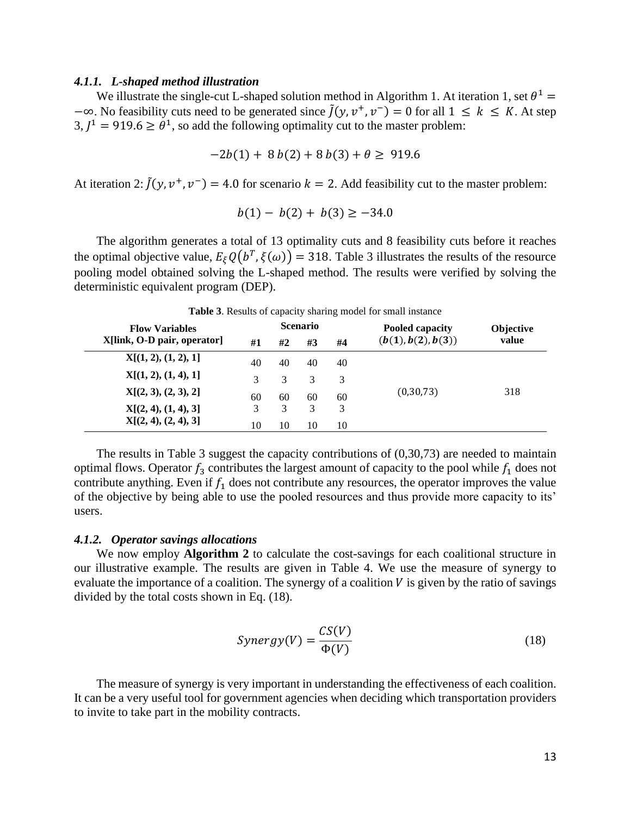#### *4.1.1. L-shaped method illustration*

We illustrate the single-cut L-shaped solution method in Algorithm 1. At iteration 1, set  $\theta^1$  =  $-\infty$ . No feasibility cuts need to be generated since  $\tilde{f}(y, v^+, v^-) = 0$  for all  $1 \leq k \leq K$ . At step  $3, J^1 = 919.6 \ge \theta^1$ , so add the following optimality cut to the master problem:

$$
-2b(1) + 8b(2) + 8b(3) + \theta \ge 919.6
$$

At iteration 2:  $\tilde{J}(y, v^+, v^-) = 4.0$  for scenario  $k = 2$ . Add feasibility cut to the master problem:

$$
b(1) - b(2) + b(3) \ge -34.0
$$

The algorithm generates a total of 13 optimality cuts and 8 feasibility cuts before it reaches the optimal objective value,  $E_{\xi}Q(b^T, \xi(\omega)) = 318$ . Table 3 illustrates the results of the resource pooling model obtained solving the L-shaped method. The results were verified by solving the deterministic equivalent program (DEP).

| <b>Flow Variables</b>       |    | <b>Scenario</b> |    |    | Pooled capacity    | <b>Objective</b> |
|-----------------------------|----|-----------------|----|----|--------------------|------------------|
| X[link, O-D pair, operator] | #1 | #2              | #3 | #4 | (b(1), b(2), b(3)) | value            |
| X[(1, 2), (1, 2), 1]        | 40 | 40              | 40 | 40 |                    |                  |
| X[(1, 2), (1, 4), 1]        | 3  | 3               | 3  | 3  |                    |                  |
| X[(2, 3), (2, 3), 2]        | 60 | 60              | 60 | 60 | (0, 30, 73)        | 318              |
| X[(2, 4), (1, 4), 3]        | 3  | 3               | 3  | 3  |                    |                  |
| X[(2, 4), (2, 4), 3]        | 10 | 10              | 10 | 10 |                    |                  |

**Table 3**. Results of capacity sharing model for small instance

The results in Table 3 suggest the capacity contributions of (0,30,73) are needed to maintain optimal flows. Operator  $f_3$  contributes the largest amount of capacity to the pool while  $f_1$  does not contribute anything. Even if  $f_1$  does not contribute any resources, the operator improves the value of the objective by being able to use the pooled resources and thus provide more capacity to its' users.

#### *4.1.2. Operator savings allocations*

We now employ **Algorithm 2** to calculate the cost-savings for each coalitional structure in our illustrative example. The results are given in Table 4. We use the measure of synergy to evaluate the importance of a coalition. The synergy of a coalition  $V$  is given by the ratio of savings divided by the total costs shown in Eq. (18).

$$
Synergy(V) = \frac{CS(V)}{\Phi(V)}\tag{18}
$$

The measure of synergy is very important in understanding the effectiveness of each coalition. It can be a very useful tool for government agencies when deciding which transportation providers to invite to take part in the mobility contracts.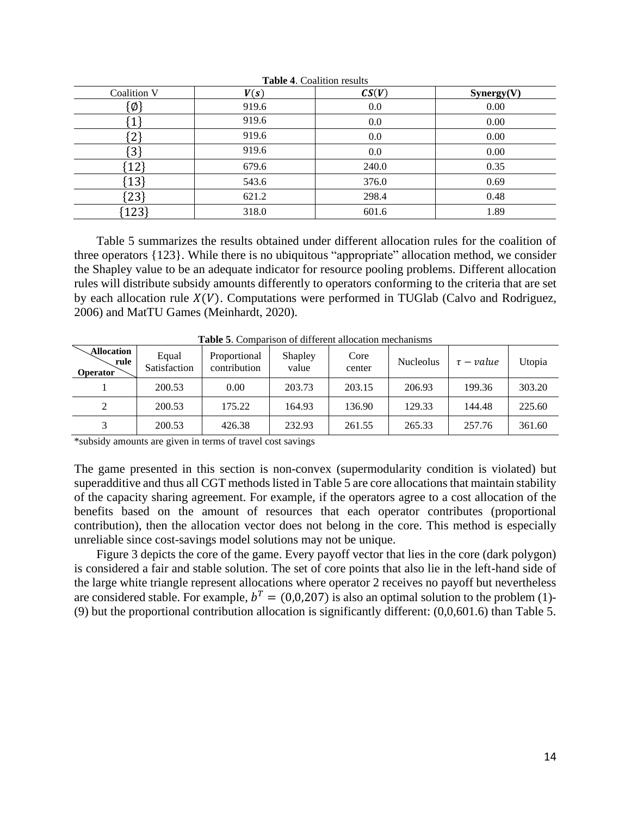| Coalition V     | V(s)  | CS(V) | Synergy(V) |
|-----------------|-------|-------|------------|
| $\{\emptyset\}$ | 919.6 | 0.0   | 0.00       |
|                 | 919.6 | 0.0   | 0.00       |
| $\sim$          | 919.6 | 0.0   | 0.00       |
| [3]             | 919.6 | 0.0   | 0.00       |
| 12              | 679.6 | 240.0 | 0.35       |
| 13              | 543.6 | 376.0 | 0.69       |
| $[23]$          | 621.2 | 298.4 | 0.48       |
| 123             | 318.0 | 601.6 | 1.89       |

**Table 4**. Coalition results

Table 5 summarizes the results obtained under different allocation rules for the coalition of three operators {123}. While there is no ubiquitous "appropriate" allocation method, we consider the Shapley value to be an adequate indicator for resource pooling problems. Different allocation rules will distribute subsidy amounts differently to operators conforming to the criteria that are set by each allocation rule  $X(V)$ . Computations were performed in TUGlab (Calvo and Rodriguez, 2006) and MatTU Games (Meinhardt, 2020).

| Tabit 9. Combarison of uniclent anocation mechanisms |                       |                              |                  |                |                  |                |        |
|------------------------------------------------------|-----------------------|------------------------------|------------------|----------------|------------------|----------------|--------|
| Allocation<br>rule<br><b>Operator</b>                | Equal<br>Satisfaction | Proportional<br>contribution | Shapley<br>value | Core<br>center | <b>Nucleolus</b> | $\tau$ – value | Utopia |
|                                                      | 200.53                | 0.00                         | 203.73           | 203.15         | 206.93           | 199.36         | 303.20 |
| 2                                                    | 200.53                | 175.22                       | 164.93           | 136.90         | 129.33           | 144.48         | 225.60 |
|                                                      | 200.53                | 426.38                       | 232.93           | 261.55         | 265.33           | 257.76         | 361.60 |

**Table 5**. Comparison of different allocation mechanisms

\*subsidy amounts are given in terms of travel cost savings

The game presented in this section is non-convex (supermodularity condition is violated) but superadditive and thus all CGT methods listed in Table 5 are core allocations that maintain stability of the capacity sharing agreement. For example, if the operators agree to a cost allocation of the benefits based on the amount of resources that each operator contributes (proportional contribution), then the allocation vector does not belong in the core. This method is especially unreliable since cost-savings model solutions may not be unique.

Figure 3 depicts the core of the game. Every payoff vector that lies in the core (dark polygon) is considered a fair and stable solution. The set of core points that also lie in the left-hand side of the large white triangle represent allocations where operator 2 receives no payoff but nevertheless are considered stable. For example,  $b^T = (0,0,207)$  is also an optimal solution to the problem (1)-(9) but the proportional contribution allocation is significantly different: (0,0,601.6) than Table 5.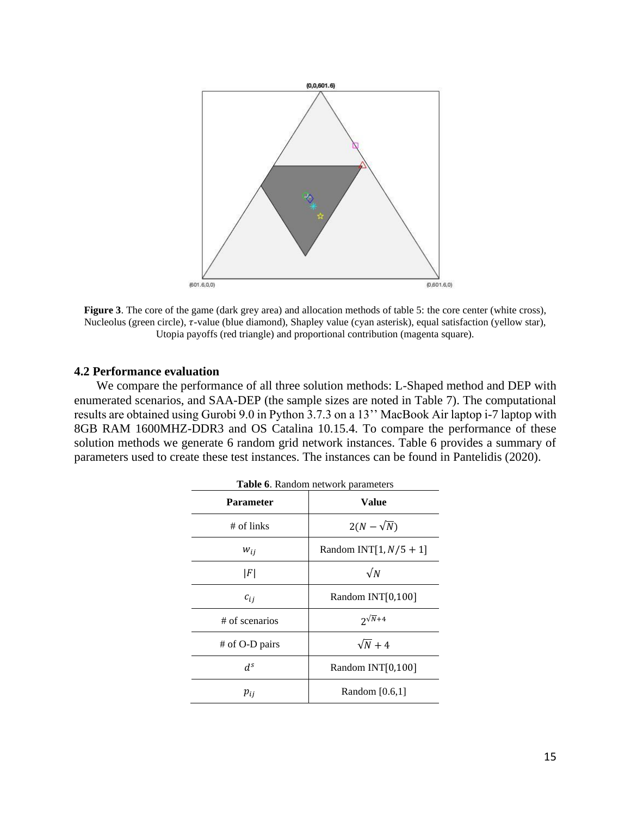

**Figure 3**. The core of the game (dark grey area) and allocation methods of table 5: the core center (white cross), Nucleolus (green circle),  $\tau$ -value (blue diamond), Shapley value (cyan asterisk), equal satisfaction (yellow star), Utopia payoffs (red triangle) and proportional contribution (magenta square).

### **4.2 Performance evaluation**

We compare the performance of all three solution methods: L-Shaped method and DEP with enumerated scenarios, and SAA-DEP (the sample sizes are noted in Table 7). The computational results are obtained using Gurobi 9.0 in Python 3.7.3 on a 13'' MacBook Air laptop i-7 laptop with 8GB RAM 1600MHZ-DDR3 and OS Catalina 10.15.4. To compare the performance of these solution methods we generate 6 random grid network instances. Table 6 provides a summary of parameters used to create these test instances. The instances can be found in Pantelidis (2020).

| <b>Table 6.</b> Random network parameters |                           |  |  |  |
|-------------------------------------------|---------------------------|--|--|--|
| <b>Parameter</b>                          | Value                     |  |  |  |
| $#$ of links                              | $2(N-\sqrt{N})$           |  |  |  |
| $W_{ij}$                                  | Random INT[1, $N/5 + 1$ ] |  |  |  |
| F                                         | $\sqrt{N}$                |  |  |  |
| $c_{ij}$                                  | Random INT[0,100]         |  |  |  |
| # of scenarios                            | $2^{\sqrt{N}+4}$          |  |  |  |
| # of O-D pairs                            | $\sqrt{N}+4$              |  |  |  |
| d <sup>s</sup>                            | Random INT[0,100]         |  |  |  |
| $p_{ij}$                                  | Random $[0.6,1]$          |  |  |  |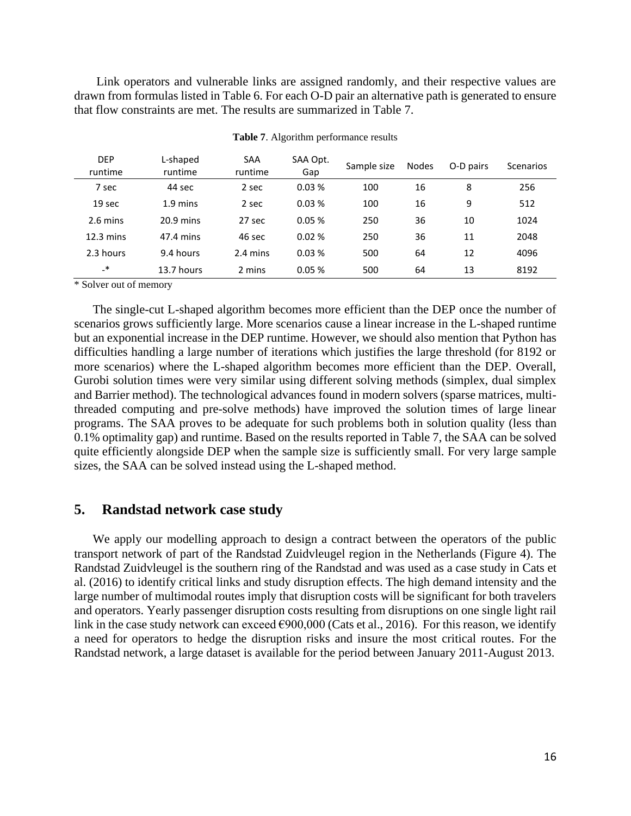Link operators and vulnerable links are assigned randomly, and their respective values are drawn from formulas listed in Table 6. For each O-D pair an alternative path is generated to ensure that flow constraints are met. The results are summarized in Table 7.

| <b>DEP</b><br>runtime | L-shaped<br>runtime | SAA<br>runtime     | SAA Opt.<br>Gap | Sample size | <b>Nodes</b> | O-D pairs | Scenarios |
|-----------------------|---------------------|--------------------|-----------------|-------------|--------------|-----------|-----------|
| 7 sec                 | 44 sec              | 2 sec              | 0.03%           | 100         | 16           | 8         | 256       |
| 19 sec                | $1.9 \text{ mins}$  | 2 sec              | 0.03%           | 100         | 16           | 9         | 512       |
| 2.6 mins              | $20.9$ mins         | 27 sec             | 0.05%           | 250         | 36           | 10        | 1024      |
| $12.3 \text{ mins}$   | 47.4 mins           | 46 sec             | 0.02%           | 250         | 36           | 11        | 2048      |
| 2.3 hours             | 9.4 hours           | $2.4 \text{ mins}$ | 0.03%           | 500         | 64           | 12        | 4096      |
| $\cdot$               | 13.7 hours          | 2 mins             | 0.05%           | 500         | 64           | 13        | 8192      |

**Table 7**. Algorithm performance results

\* Solver out of memory

The single-cut L-shaped algorithm becomes more efficient than the DEP once the number of scenarios grows sufficiently large. More scenarios cause a linear increase in the L-shaped runtime but an exponential increase in the DEP runtime. However, we should also mention that Python has difficulties handling a large number of iterations which justifies the large threshold (for 8192 or more scenarios) where the L-shaped algorithm becomes more efficient than the DEP. Overall, Gurobi solution times were very similar using different solving methods (simplex, dual simplex and Barrier method). The technological advances found in modern solvers (sparse matrices, multithreaded computing and pre-solve methods) have improved the solution times of large linear programs. The SAA proves to be adequate for such problems both in solution quality (less than 0.1% optimality gap) and runtime. Based on the results reported in Table 7, the SAA can be solved quite efficiently alongside DEP when the sample size is sufficiently small. For very large sample sizes, the SAA can be solved instead using the L-shaped method.

### **5. Randstad network case study**

We apply our modelling approach to design a contract between the operators of the public transport network of part of the Randstad Zuidvleugel region in the Netherlands (Figure 4). The Randstad Zuidvleugel is the southern ring of the Randstad and was used as a case study in Cats et al. (2016) to identify critical links and study disruption effects. The high demand intensity and the large number of multimodal routes imply that disruption costs will be significant for both travelers and operators. Yearly passenger disruption costs resulting from disruptions on one single light rail link in the case study network can exceed  $\epsilon$ 900,000 (Cats et al., 2016). For this reason, we identify a need for operators to hedge the disruption risks and insure the most critical routes. For the Randstad network, a large dataset is available for the period between January 2011-August 2013.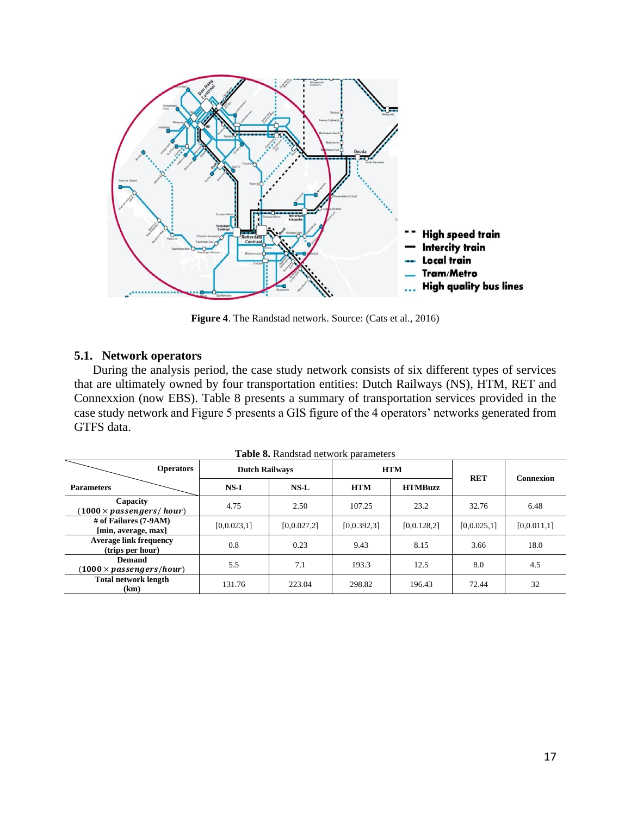

**Figure 4**. The Randstad network. Source: (Cats et al., 2016)

### **5.1. Network operators**

During the analysis period, the case study network consists of six different types of services that are ultimately owned by four transportation entities: Dutch Railways (NS), HTM, RET and Connexxion (now EBS). Table 8 presents a summary of transportation services provided in the case study network and Figure 5 presents a GIS figure of the 4 operators' networks generated from GTFS data.

| <b>Operators</b>                                          | <b>Dutch Railways</b> |             |             | <b>HTM</b>     | <b>RET</b>  | <b>Connexion</b> |
|-----------------------------------------------------------|-----------------------|-------------|-------------|----------------|-------------|------------------|
| <b>Parameters</b>                                         | $NS-I$                | $NS-L$      | <b>HTM</b>  | <b>HTMBuzz</b> |             |                  |
| Capacity<br>$(1000 \times$ passengers/hour)               | 4.75                  | 2.50        | 107.25      | 23.2           | 32.76       | 6.48             |
| # of Failures (7-9AM)<br>[min, average, max]              | [0,0.023,1]           | [0,0.027,2] | [0,0.392,3] | [0, 0.128, 2]  | [0,0.025,1] | [0,0.011,1]      |
| <b>Average link frequency</b><br>(trips per hour)         | 0.8                   | 0.23        | 9.43        | 8.15           | 3.66        | 18.0             |
| <b>Demand</b><br>$(1000 \times \textit{passengers/hour})$ | 5.5                   | 7.1         | 193.3       | 12.5           | 8.0         | 4.5              |
| <b>Total network length</b><br>(km)                       | 131.76                | 223.04      | 298.82      | 196.43         | 72.44       | 32               |

**Table 8.** Randstad network parameters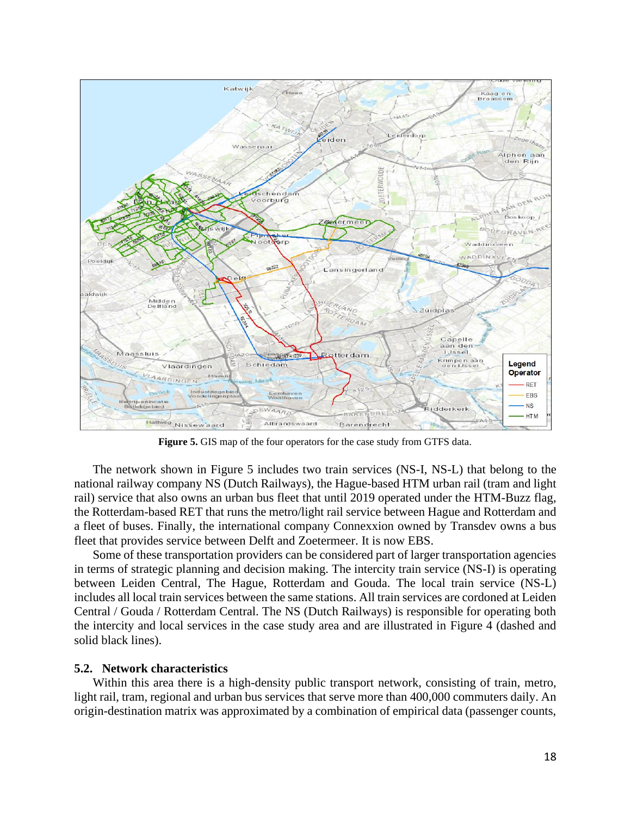

**Figure 5.** GIS map of the four operators for the case study from GTFS data.

The network shown in Figure 5 includes two train services (NS-I, NS-L) that belong to the national railway company NS (Dutch Railways), the Hague-based HTM urban rail (tram and light rail) service that also owns an urban bus fleet that until 2019 operated under the HTM-Buzz flag, the Rotterdam-based RET that runs the metro/light rail service between Hague and Rotterdam and a fleet of buses. Finally, the international company Connexxion owned by [Transdev](https://en.wikipedia.org/wiki/Transdev) owns a bus fleet that provides service between Delft and Zoetermeer. It is now EBS.

Some of these transportation providers can be considered part of larger transportation agencies in terms of strategic planning and decision making. The intercity train service (NS-I) is operating between Leiden Central, The Hague, Rotterdam and Gouda. The local train service (NS-L) includes all local train services between the same stations. All train services are cordoned at Leiden Central / Gouda / Rotterdam Central. The NS (Dutch Railways) is responsible for operating both the intercity and local services in the case study area and are illustrated in Figure 4 (dashed and solid black lines).

### **5.2. Network characteristics**

Within this area there is a high-density public transport network, consisting of train, metro, light rail, tram, regional and urban bus services that serve more than 400,000 commuters daily. An origin-destination matrix was approximated by a combination of empirical data (passenger counts,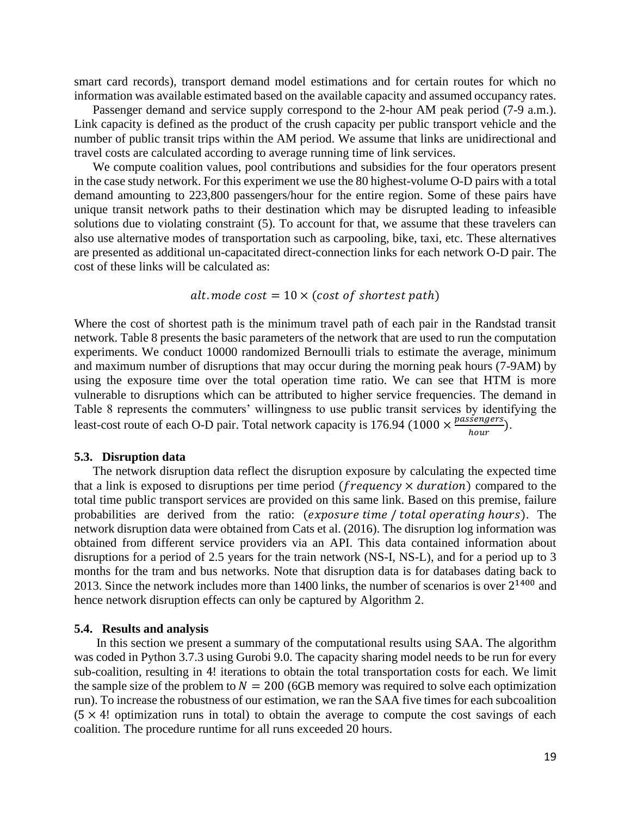smart card records), transport demand model estimations and for certain routes for which no information was available estimated based on the available capacity and assumed occupancy rates.

Passenger demand and service supply correspond to the 2-hour AM peak period (7-9 a.m.). Link capacity is defined as the product of the crush capacity per public transport vehicle and the number of public transit trips within the AM period. We assume that links are unidirectional and travel costs are calculated according to average running time of link services.

We compute coalition values, pool contributions and subsidies for the four operators present in the case study network. For this experiment we use the 80 highest-volume O-D pairs with a total demand amounting to 223,800 passengers/hour for the entire region. Some of these pairs have unique transit network paths to their destination which may be disrupted leading to infeasible solutions due to violating constraint (5). To account for that, we assume that these travelers can also use alternative modes of transportation such as carpooling, bike, taxi, etc. These alternatives are presented as additional un-capacitated direct-connection links for each network O-D pair. The cost of these links will be calculated as:

$$
alt.
$$
 mode cost =  $10 \times (cost of shortest path)$ 

Where the cost of shortest path is the minimum travel path of each pair in the Randstad transit network. Table 8 presents the basic parameters of the network that are used to run the computation experiments. We conduct 10000 randomized Bernoulli trials to estimate the average, minimum and maximum number of disruptions that may occur during the morning peak hours (7-9AM) by using the exposure time over the total operation time ratio. We can see that HTM is more vulnerable to disruptions which can be attributed to higher service frequencies. The demand in Table 8 represents the commuters' willingness to use public transit services by identifying the least-cost route of each O-D pair. Total network capacity is 176.94 (1000  $\times \frac{passengers}{ hours}$  $\frac{\text{seugers}}{\text{hour}}$ ).

#### **5.3. Disruption data**

The network disruption data reflect the disruption exposure by calculating the expected time that a link is exposed to disruptions per time period (*frequency*  $\times$  *duration*) compared to the total time public transport services are provided on this same link. Based on this premise, failure probabilities are derived from the ratio: (*exposure time* / total operating hours). The network disruption data were obtained from Cats et al. (2016). The disruption log information was obtained from different service providers via an API. This data contained information about disruptions for a period of 2.5 years for the train network (NS-I, NS-L), and for a period up to 3 months for the tram and bus networks. Note that disruption data is for databases dating back to 2013. Since the network includes more than 1400 links, the number of scenarios is over  $2^{1400}$  and hence network disruption effects can only be captured by Algorithm 2.

#### **5.4. Results and analysis**

In this section we present a summary of the computational results using SAA. The algorithm was coded in Python 3.7.3 using Gurobi 9.0. The capacity sharing model needs to be run for every sub-coalition, resulting in 4! iterations to obtain the total transportation costs for each. We limit the sample size of the problem to  $N = 200$  (6GB memory was required to solve each optimization run). To increase the robustness of our estimation, we ran the SAA five times for each subcoalition  $(5 \times 4!)$  optimization runs in total) to obtain the average to compute the cost savings of each coalition. The procedure runtime for all runs exceeded 20 hours.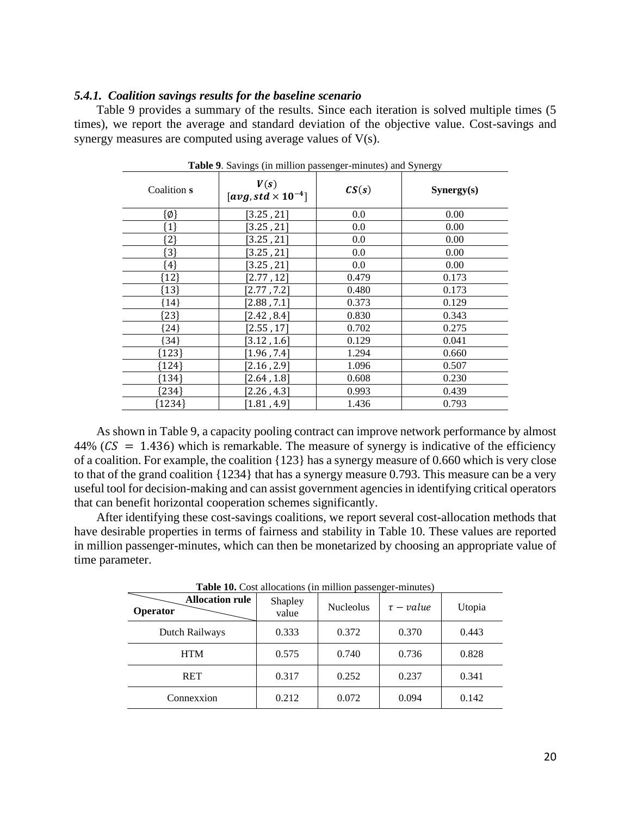#### *5.4.1. Coalition savings results for the baseline scenario*

Table 9 provides a summary of the results. Since each iteration is solved multiple times (5 times), we report the average and standard deviation of the objective value. Cost-savings and synergy measures are computed using average values of V(s).

| <b>Tuble</b> 2. Buyings (in number pussenger immutes) and Byitergy |                                                |       |            |  |  |
|--------------------------------------------------------------------|------------------------------------------------|-------|------------|--|--|
| Coalition s                                                        | V(s)<br>$\left[avg, std \times 10^{-4}\right]$ | CS(s) | Synergy(s) |  |  |
| $\{\emptyset\}$                                                    | [3.25, 21]                                     | 0.0   | 0.00       |  |  |
| {1}                                                                | [3.25, 21]                                     | 0.0   | 0.00       |  |  |
| ${2}$                                                              | [3.25, 21]                                     | 0.0   | 0.00       |  |  |
| ${3}$                                                              | [3.25, 21]                                     | 0.0   | 0.00       |  |  |
| ${4}$                                                              | 3.25, 21                                       | 0.0   | 0.00       |  |  |
| ${12}$                                                             | [2.77, 12]                                     | 0.479 | 0.173      |  |  |
| ${13}$                                                             | [2.77, 7.2]                                    | 0.480 | 0.173      |  |  |
| $\{14\}$                                                           | [2.88, 7.1]                                    | 0.373 | 0.129      |  |  |
| ${23}$                                                             | [2.42, 8.4]                                    | 0.830 | 0.343      |  |  |
| $\{24\}$                                                           | [2.55, 17]                                     | 0.702 | 0.275      |  |  |
| {34}                                                               | [3.12, 1.6]                                    | 0.129 | 0.041      |  |  |
| ${123}$                                                            | $\left[1.96$ , $7.4\right]$                    | 1.294 | 0.660      |  |  |
| {124}                                                              | [2.16, 2.9]                                    | 1.096 | 0.507      |  |  |
| ${134}$                                                            | [2.64, 1.8]                                    | 0.608 | 0.230      |  |  |
| ${234}$                                                            | [2.26, 4.3]                                    | 0.993 | 0.439      |  |  |
| ${1234}$                                                           | [1.81, 4.9]                                    | 1.436 | 0.793      |  |  |

**Table 9**. Savings (in million passenger-minutes) and Synergy

As shown in Table 9, a capacity pooling contract can improve network performance by almost  $44\%$  ( $CS = 1.436$ ) which is remarkable. The measure of synergy is indicative of the efficiency of a coalition. For example, the coalition {123} has a synergy measure of 0.660 which is very close to that of the grand coalition {1234} that has a synergy measure 0.793. This measure can be a very useful tool for decision-making and can assist government agencies in identifying critical operators that can benefit horizontal cooperation schemes significantly.

After identifying these cost-savings coalitions, we report several cost-allocation methods that have desirable properties in terms of fairness and stability in Table 10. These values are reported in million passenger-minutes, which can then be monetarized by choosing an appropriate value of time parameter.

| <b>Table To.</b> Cost anocations (in immon passenger-immutes) |                  |                  |                |        |  |  |  |
|---------------------------------------------------------------|------------------|------------------|----------------|--------|--|--|--|
| <b>Allocation rule</b><br>Operator                            | Shapley<br>value | <b>Nucleolus</b> | $\tau$ – value | Utopia |  |  |  |
| Dutch Railways                                                | 0.333            | 0.372            | 0.370          | 0.443  |  |  |  |
| <b>HTM</b>                                                    | 0.575            | 0.740            | 0.736          | 0.828  |  |  |  |
| <b>RET</b>                                                    | 0.317            | 0.252            | 0.237          | 0.341  |  |  |  |
| Connexxion                                                    | 0.212            | 0.072            | 0.094          | 0.142  |  |  |  |

**Table 10.** Cost allocations (in million passenger-minutes)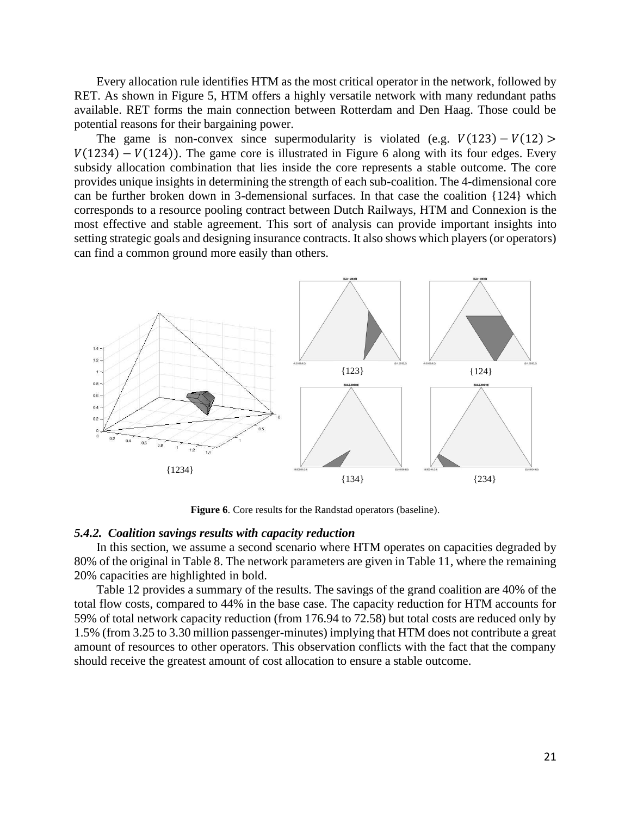Every allocation rule identifies HTM as the most critical operator in the network, followed by RET. As shown in Figure 5, HTM offers a highly versatile network with many redundant paths available. RET forms the main connection between Rotterdam and Den Haag. Those could be potential reasons for their bargaining power.

The game is non-convex since supermodularity is violated (e.g.  $V(123) - V(12)$ )  $V(1234) - V(124)$ ). The game core is illustrated in Figure 6 along with its four edges. Every subsidy allocation combination that lies inside the core represents a stable outcome. The core provides unique insights in determining the strength of each sub-coalition. The 4-dimensional core can be further broken down in 3-demensional surfaces. In that case the coalition {124} which corresponds to a resource pooling contract between Dutch Railways, HTM and Connexion is the most effective and stable agreement. This sort of analysis can provide important insights into setting strategic goals and designing insurance contracts. It also shows which players (or operators) can find a common ground more easily than others.



**Figure 6**. Core results for the Randstad operators (baseline).

#### *5.4.2. Coalition savings results with capacity reduction*

In this section, we assume a second scenario where HTM operates on capacities degraded by 80% of the original in Table 8. The network parameters are given in Table 11, where the remaining 20% capacities are highlighted in bold.

Table 12 provides a summary of the results. The savings of the grand coalition are 40% of the total flow costs, compared to 44% in the base case. The capacity reduction for HTM accounts for 59% of total network capacity reduction (from 176.94 to 72.58) but total costs are reduced only by 1.5% (from 3.25 to 3.30 million passenger-minutes) implying that HTM does not contribute a great amount of resources to other operators. This observation conflicts with the fact that the company should receive the greatest amount of cost allocation to ensure a stable outcome.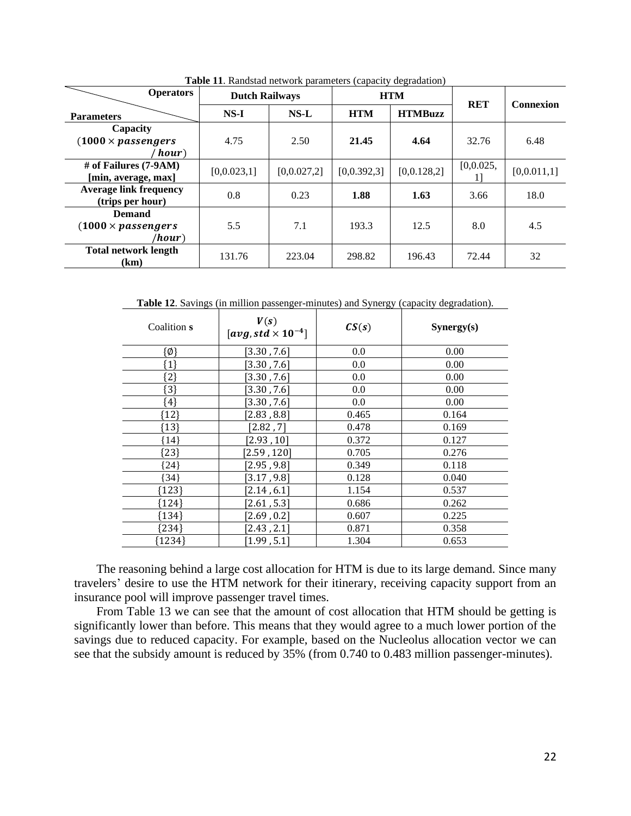| <b>Operators</b>                                      | runtestat norwork paramoters (oupavre) aogramation)<br><b>Dutch Railways</b> |             |               | <b>HTM</b>     | <b>RET</b> | <b>Connexion</b> |
|-------------------------------------------------------|------------------------------------------------------------------------------|-------------|---------------|----------------|------------|------------------|
| <b>Parameters</b>                                     | $NS-I$                                                                       | $NS-L$      | <b>HTM</b>    | <b>HTMBuzz</b> |            |                  |
| Capacity<br>$(1000 \times$ passengers<br>hour)        | 4.75                                                                         | 2.50        | 21.45         | 4.64           | 32.76      | 6.48             |
| # of Failures (7-9AM)<br>[min, average, max]          | [0,0.023,1]                                                                  | [0,0.027,2] | [0, 0.392, 3] | [0,0.128,2]    | [0,0.025,  | [0,0.011,1]      |
| <b>Average link frequency</b><br>(trips per hour)     | 0.8                                                                          | 0.23        | 1.88          | 1.63           | 3.66       | 18.0             |
| <b>Demand</b><br>$(1000 \times passengers)$<br>/hour) | 5.5                                                                          | 7.1         | 193.3         | 12.5           | 8.0        | 4.5              |
| <b>Total network length</b><br>(km)                   | 131.76                                                                       | 223.04      | 298.82        | 196.43         | 72.44      | 32               |

**Table 11**. Randstad network parameters (capacity degradation)

**Table 12**. Savings (in million passenger-minutes) and Synergy (capacity degradation).

| Coalition s     | V(s)<br>[avg, std $\times$ 10 <sup>-4</sup> ] | CS(s) | Synergy(s) |
|-----------------|-----------------------------------------------|-------|------------|
| $\{\emptyset\}$ | $[3.30$ , $7.6]$                              | 0.0   | 0.00       |
| ${1}$           | $\left[3.30$ , $7.6\right]$                   | 0.0   | 0.00       |
| $\{2\}$         | [3.30, 7.6]                                   | 0.0   | 0.00       |
| ${3}$           | [3.30, 7.6]                                   | 0.0   | 0.00       |
| $\{4\}$         | $\left[3.30$ , $7.6\right]$                   | 0.0   | 0.00       |
| ${12}$          | [2.83, 8.8]                                   | 0.465 | 0.164      |
| {13}            | [2.82, 7]                                     | 0.478 | 0.169      |
| {14}            | [2.93, 10]                                    | 0.372 | 0.127      |
| ${23}$          | [2.59, 120]                                   | 0.705 | 0.276      |
| ${24}$          | [2.95, 9.8]                                   | 0.349 | 0.118      |
| 34              | [3.17, 9.8]                                   | 0.128 | 0.040      |
| {123}           | [2.14, 6.1]                                   | 1.154 | 0.537      |
| {124}           | [2.61, 5.3]                                   | 0.686 | 0.262      |
| {134}           | [2.69, 0.2]                                   | 0.607 | 0.225      |
| {234}           | [2.43, 2.1]                                   | 0.871 | 0.358      |
| {1234}          | [1.99, 5.1]                                   | 1.304 | 0.653      |

The reasoning behind a large cost allocation for HTM is due to its large demand. Since many travelers' desire to use the HTM network for their itinerary, receiving capacity support from an insurance pool will improve passenger travel times.

From Table 13 we can see that the amount of cost allocation that HTM should be getting is significantly lower than before. This means that they would agree to a much lower portion of the savings due to reduced capacity. For example, based on the Nucleolus allocation vector we can see that the subsidy amount is reduced by 35% (from 0.740 to 0.483 million passenger-minutes).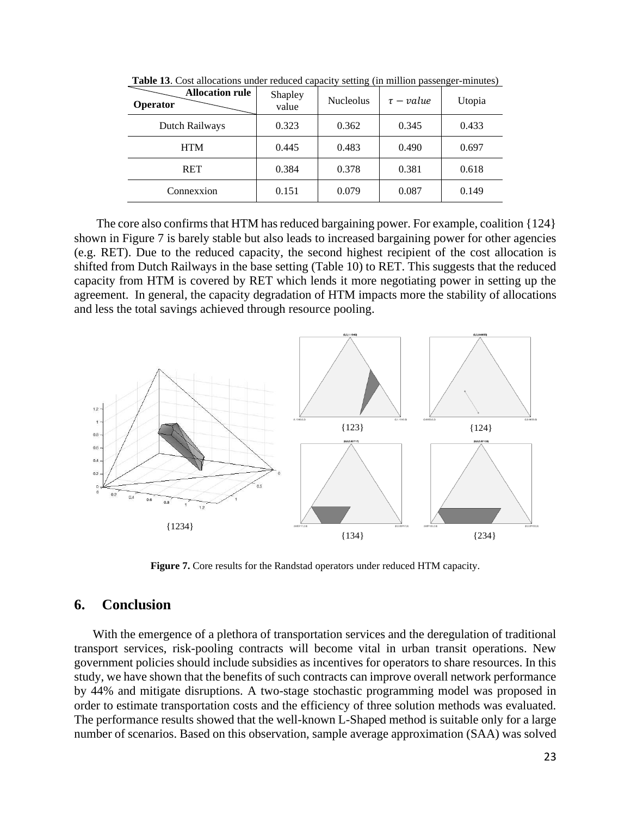| <b>Allocation rule</b><br>Operator | Shapley<br>value | <b>Nucleolus</b> | $\tau$ – value | Utopia |
|------------------------------------|------------------|------------------|----------------|--------|
| Dutch Railways                     | 0.323            | 0.362            | 0.345          | 0.433  |
| <b>HTM</b>                         | 0.445            | 0.483            | 0.490          | 0.697  |
| RET                                | 0.384            | 0.378            | 0.381          | 0.618  |
| Connexxion                         | 0.151            | 0.079            | 0.087          | 0.149  |

**Table 13**. Cost allocations under reduced capacity setting (in million passenger-minutes)

The core also confirms that HTM has reduced bargaining power. For example, coalition {124} shown in Figure 7 is barely stable but also leads to increased bargaining power for other agencies (e.g. RET). Due to the reduced capacity, the second highest recipient of the cost allocation is shifted from Dutch Railways in the base setting (Table 10) to RET. This suggests that the reduced capacity from HTM is covered by RET which lends it more negotiating power in setting up the agreement. In general, the capacity degradation of HTM impacts more the stability of allocations and less the total savings achieved through resource pooling.



**Figure 7.** Core results for the Randstad operators under reduced HTM capacity.

## **6. Conclusion**

With the emergence of a plethora of transportation services and the deregulation of traditional transport services, risk-pooling contracts will become vital in urban transit operations. New government policies should include subsidies as incentives for operators to share resources. In this study, we have shown that the benefits of such contracts can improve overall network performance by 44% and mitigate disruptions. A two-stage stochastic programming model was proposed in order to estimate transportation costs and the efficiency of three solution methods was evaluated. The performance results showed that the well-known L-Shaped method is suitable only for a large number of scenarios. Based on this observation, sample average approximation (SAA) was solved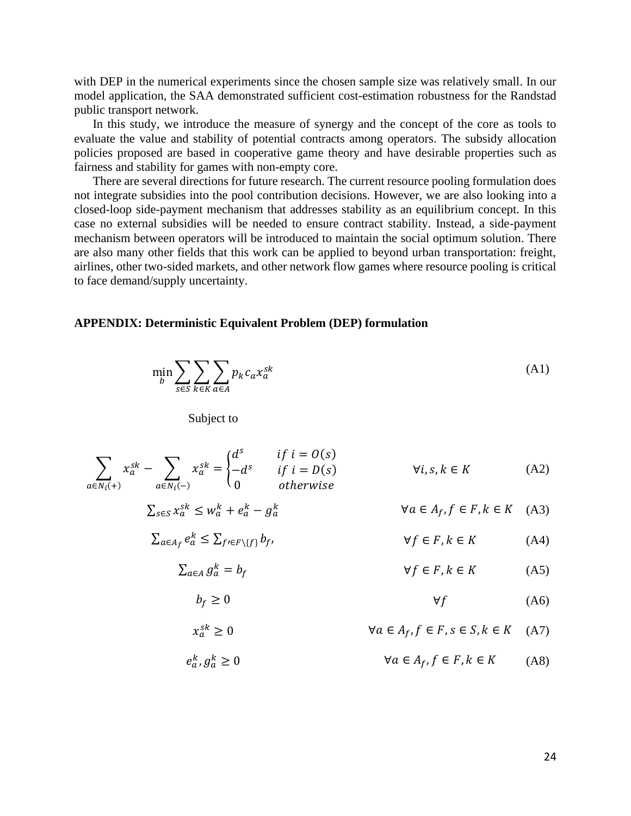with DEP in the numerical experiments since the chosen sample size was relatively small. In our model application, the SAA demonstrated sufficient cost-estimation robustness for the Randstad public transport network.

In this study, we introduce the measure of synergy and the concept of the core as tools to evaluate the value and stability of potential contracts among operators. The subsidy allocation policies proposed are based in cooperative game theory and have desirable properties such as fairness and stability for games with non-empty core.

There are several directions for future research. The current resource pooling formulation does not integrate subsidies into the pool contribution decisions. However, we are also looking into a closed-loop side-payment mechanism that addresses stability as an equilibrium concept. In this case no external subsidies will be needed to ensure contract stability. Instead, a side-payment mechanism between operators will be introduced to maintain the social optimum solution. There are also many other fields that this work can be applied to beyond urban transportation: freight, airlines, other two-sided markets, and other network flow games where resource pooling is critical to face demand/supply uncertainty.

### **APPENDIX: Deterministic Equivalent Problem (DEP) formulation**

$$
\min_{b} \sum_{s \in S} \sum_{k \in K} \sum_{a \in A} p_k c_a x_a^{sk} \tag{A1}
$$

Subject to

$$
\sum_{a \in N_i(+)} x_a^{sk} - \sum_{a \in N_i(-)} x_a^{sk} = \begin{cases} d^s & \text{if } i = O(s) \\ -d^s & \text{if } i = D(s) \\ 0 & \text{otherwise} \end{cases} \qquad \forall i, s, k \in K \tag{A2}
$$

$$
\sum_{s \in S} x_a^{sk} \le w_a^k + e_a^k - g_a^k \qquad \forall a \in A_f, f \in F, k \in K \quad (A3)
$$

$$
\sum_{a \in A_f} e_a^k \le \sum_{f' \in F \setminus \{f\}} b_{f'} \qquad \forall f \in F, k \in K \tag{A4}
$$

$$
\sum_{a \in A} g_a^k = b_f \qquad \qquad \forall f \in F, k \in K \tag{A5}
$$

$$
b_f \ge 0 \t\t \t\t \forall f \t\t (A6)
$$

$$
x_a^{sk} \ge 0 \qquad \forall a \in A_f, f \in F, s \in S, k \in K \quad (A7)
$$

$$
e_a^k, g_a^k \ge 0 \qquad \qquad \forall a \in A_f, f \in F, k \in K \qquad (A8)
$$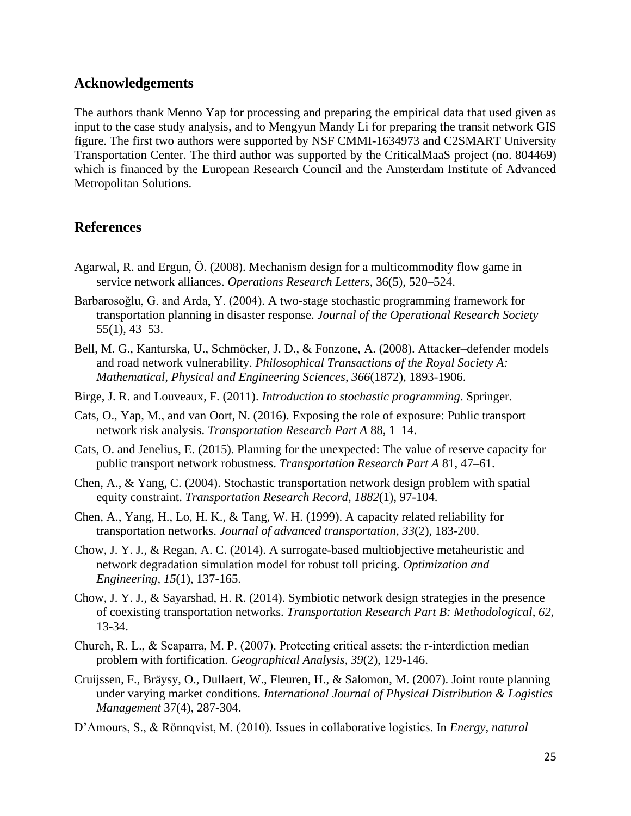# **Acknowledgements**

The authors thank Menno Yap for processing and preparing the empirical data that used given as input to the case study analysis, and to Mengyun Mandy Li for preparing the transit network GIS figure. The first two authors were supported by NSF CMMI-1634973 and C2SMART University Transportation Center. The third author was supported by the CriticalMaaS project (no. 804469) which is financed by the European Research Council and the Amsterdam Institute of Advanced Metropolitan Solutions.

# **References**

- Agarwal, R. and Ergun, Ö. (2008). Mechanism design for a multicommodity flow game in service network alliances. *Operations Research Letters*, 36(5), 520–524.
- Barbarosoğlu, G. and Arda, Y. (2004). A two-stage stochastic programming framework for transportation planning in disaster response. *Journal of the Operational Research Society* 55(1), 43–53.
- Bell, M. G., Kanturska, U., Schmöcker, J. D., & Fonzone, A. (2008). Attacker–defender models and road network vulnerability. *Philosophical Transactions of the Royal Society A: Mathematical, Physical and Engineering Sciences*, *366*(1872), 1893-1906.
- Birge, J. R. and Louveaux, F. (2011). *Introduction to stochastic programming*. Springer.
- Cats, O., Yap, M., and van Oort, N. (2016). Exposing the role of exposure: Public transport network risk analysis. *Transportation Research Part A* 88, 1–14.
- Cats, O. and Jenelius, E. (2015). Planning for the unexpected: The value of reserve capacity for public transport network robustness. *Transportation Research Part A* 81, 47–61.
- Chen, A., & Yang, C. (2004). Stochastic transportation network design problem with spatial equity constraint. *Transportation Research Record*, *1882*(1), 97-104.
- Chen, A., Yang, H., Lo, H. K., & Tang, W. H. (1999). A capacity related reliability for transportation networks. *Journal of advanced transportation*, *33*(2), 183-200.
- Chow, J. Y. J., & Regan, A. C. (2014). A surrogate-based multiobjective metaheuristic and network degradation simulation model for robust toll pricing. *Optimization and Engineering*, *15*(1), 137-165.
- Chow, J. Y. J., & Sayarshad, H. R. (2014). Symbiotic network design strategies in the presence of coexisting transportation networks. *Transportation Research Part B: Methodological*, *62*, 13-34.
- Church, R. L., & Scaparra, M. P. (2007). Protecting critical assets: the r‐interdiction median problem with fortification. *Geographical Analysis*, *39*(2), 129-146.
- Cruijssen, F., Bräysy, O., Dullaert, W., Fleuren, H., & Salomon, M. (2007). Joint route planning under varying market conditions. *International Journal of Physical Distribution & Logistics Management* 37(4), 287-304.
- D'Amours, S., & Rönnqvist, M. (2010). Issues in collaborative logistics. In *Energy, natural*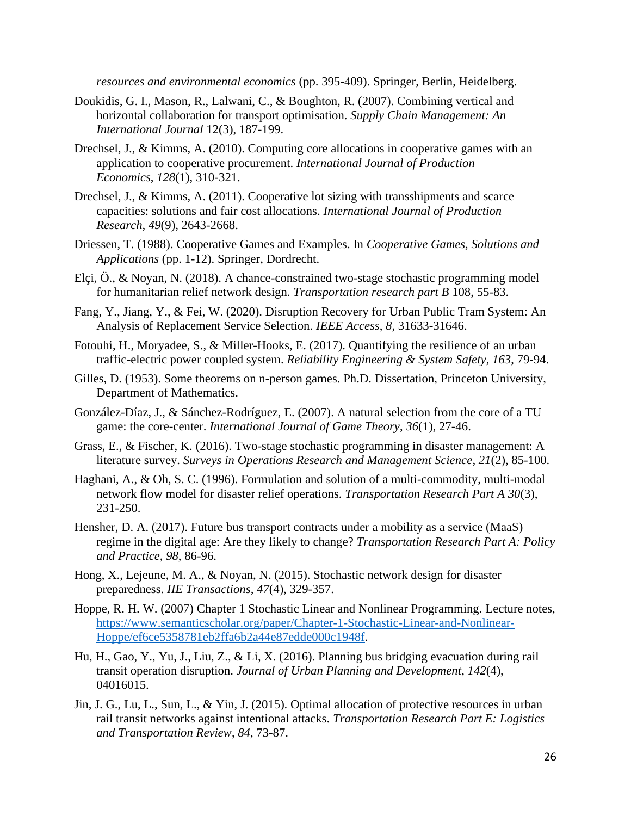*resources and environmental economics* (pp. 395-409). Springer, Berlin, Heidelberg.

- Doukidis, G. I., Mason, R., Lalwani, C., & Boughton, R. (2007). Combining vertical and horizontal collaboration for transport optimisation. *Supply Chain Management: An International Journal* 12(3), 187-199.
- Drechsel, J., & Kimms, A. (2010). Computing core allocations in cooperative games with an application to cooperative procurement. *International Journal of Production Economics*, *128*(1), 310-321.
- Drechsel, J., & Kimms, A. (2011). Cooperative lot sizing with transshipments and scarce capacities: solutions and fair cost allocations. *International Journal of Production Research*, *49*(9), 2643-2668.
- Driessen, T. (1988). Cooperative Games and Examples. In *Cooperative Games, Solutions and Applications* (pp. 1-12). Springer, Dordrecht.
- Elçi, Ö., & Noyan, N. (2018). A chance-constrained two-stage stochastic programming model for humanitarian relief network design. *Transportation research part B* 108, 55-83.
- Fang, Y., Jiang, Y., & Fei, W. (2020). Disruption Recovery for Urban Public Tram System: An Analysis of Replacement Service Selection. *IEEE Access*, *8*, 31633-31646.
- Fotouhi, H., Moryadee, S., & Miller-Hooks, E. (2017). Quantifying the resilience of an urban traffic-electric power coupled system. *Reliability Engineering & System Safety*, *163*, 79-94.
- Gilles, D. (1953). Some theorems on n-person games. Ph.D. Dissertation, Princeton University, Department of Mathematics.
- González-Díaz, J., & Sánchez-Rodríguez, E. (2007). A natural selection from the core of a TU game: the core-center. *International Journal of Game Theory*, *36*(1), 27-46.
- Grass, E., & Fischer, K. (2016). Two-stage stochastic programming in disaster management: A literature survey. *Surveys in Operations Research and Management Science*, *21*(2), 85-100.
- Haghani, A., & Oh, S. C. (1996). Formulation and solution of a multi-commodity, multi-modal network flow model for disaster relief operations. *Transportation Research Part A 30*(3), 231-250.
- Hensher, D. A. (2017). Future bus transport contracts under a mobility as a service (MaaS) regime in the digital age: Are they likely to change? *Transportation Research Part A: Policy and Practice*, *98*, 86-96.
- Hong, X., Lejeune, M. A., & Noyan, N. (2015). Stochastic network design for disaster preparedness. *IIE Transactions*, *47*(4), 329-357.
- Hoppe, R. H. W. (2007) Chapter 1 Stochastic Linear and Nonlinear Programming. Lecture notes, [https://www.semanticscholar.org/paper/Chapter-1-Stochastic-Linear-and-Nonlinear-](https://www.semanticscholar.org/paper/Chapter-1-Stochastic-Linear-and-Nonlinear-Hoppe/ef6ce5358781eb2ffa6b2a44e87edde000c1948f)[Hoppe/ef6ce5358781eb2ffa6b2a44e87edde000c1948f.](https://www.semanticscholar.org/paper/Chapter-1-Stochastic-Linear-and-Nonlinear-Hoppe/ef6ce5358781eb2ffa6b2a44e87edde000c1948f)
- Hu, H., Gao, Y., Yu, J., Liu, Z., & Li, X. (2016). Planning bus bridging evacuation during rail transit operation disruption. *Journal of Urban Planning and Development*, *142*(4), 04016015.
- Jin, J. G., Lu, L., Sun, L., & Yin, J. (2015). Optimal allocation of protective resources in urban rail transit networks against intentional attacks. *Transportation Research Part E: Logistics and Transportation Review*, *84*, 73-87.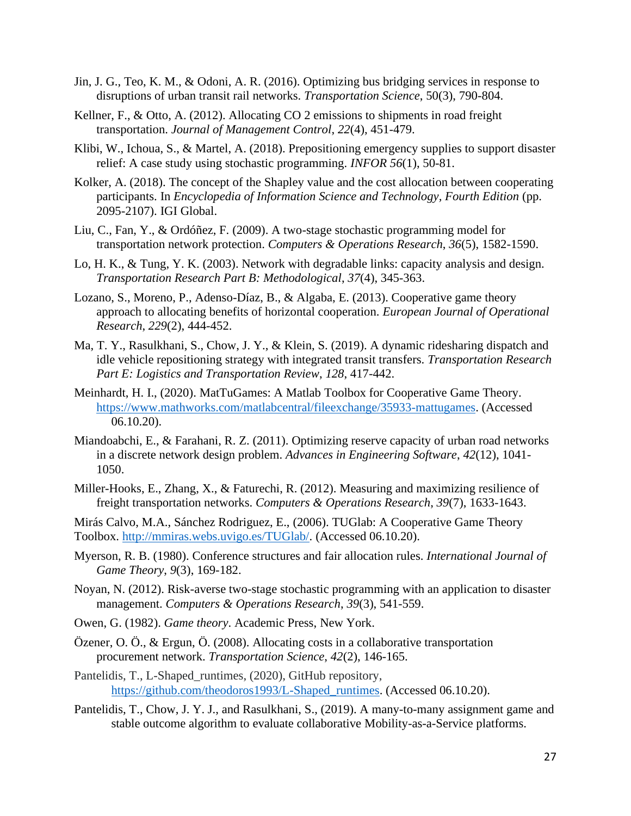- Jin, J. G., Teo, K. M., & Odoni, A. R. (2016). Optimizing bus bridging services in response to disruptions of urban transit rail networks. *Transportation Science*, 50(3), 790-804.
- Kellner, F., & Otto, A. (2012). Allocating CO 2 emissions to shipments in road freight transportation. *Journal of Management Control*, *22*(4), 451-479.
- Klibi, W., Ichoua, S., & Martel, A. (2018). Prepositioning emergency supplies to support disaster relief: A case study using stochastic programming. *INFOR 56*(1), 50-81.
- Kolker, A. (2018). The concept of the Shapley value and the cost allocation between cooperating participants. In *Encyclopedia of Information Science and Technology, Fourth Edition* (pp. 2095-2107). IGI Global.
- Liu, C., Fan, Y., & Ordóñez, F. (2009). A two-stage stochastic programming model for transportation network protection. *Computers & Operations Research*, *36*(5), 1582-1590.
- Lo, H. K., & Tung, Y. K. (2003). Network with degradable links: capacity analysis and design. *Transportation Research Part B: Methodological*, *37*(4), 345-363.
- Lozano, S., Moreno, P., Adenso-Díaz, B., & Algaba, E. (2013). Cooperative game theory approach to allocating benefits of horizontal cooperation. *European Journal of Operational Research*, *229*(2), 444-452.
- Ma, T. Y., Rasulkhani, S., Chow, J. Y., & Klein, S. (2019). A dynamic ridesharing dispatch and idle vehicle repositioning strategy with integrated transit transfers. *Transportation Research Part E: Logistics and Transportation Review*, *128*, 417-442.
- Meinhardt, H. I., (2020). MatTuGames: A Matlab Toolbox for Cooperative Game Theory. [https://www.mathworks.com/matlabcentral/fileexchange/35933-mattugames.](https://www.mathworks.com/matlabcentral/fileexchange/35933-mattugames) (Accessed 06.10.20).
- Miandoabchi, E., & Farahani, R. Z. (2011). Optimizing reserve capacity of urban road networks in a discrete network design problem. *Advances in Engineering Software*, *42*(12), 1041- 1050.
- Miller-Hooks, E., Zhang, X., & Faturechi, R. (2012). Measuring and maximizing resilience of freight transportation networks. *Computers & Operations Research*, *39*(7), 1633-1643.

Mirás Calvo, M.A., Sánchez Rodriguez, E., (2006). TUGlab: A Cooperative Game Theory Toolbox. [http://mmiras.webs.uvigo.es/TUGlab/.](http://mmiras.webs.uvigo.es/TUGlab/) (Accessed 06.10.20).

- Myerson, R. B. (1980). Conference structures and fair allocation rules. *International Journal of Game Theory*, *9*(3), 169-182.
- Noyan, N. (2012). Risk-averse two-stage stochastic programming with an application to disaster management. *Computers & Operations Research*, *39*(3), 541-559.
- Owen, G. (1982). *Game theory*. Academic Press, New York.
- Özener, O. Ö., & Ergun, Ö. (2008). Allocating costs in a collaborative transportation procurement network. *Transportation Science*, *42*(2), 146-165.
- Pantelidis, T., L-Shaped runtimes, (2020), GitHub repository, [https://github.com/theodoros1993/L-Shaped\\_runtimes.](https://github.com/theodoros1993/L-Shaped_runtimes) (Accessed 06.10.20).
- Pantelidis, T., Chow, J. Y. J., and Rasulkhani, S., (2019). A many-to-many assignment game and stable outcome algorithm to evaluate collaborative Mobility-as-a-Service platforms.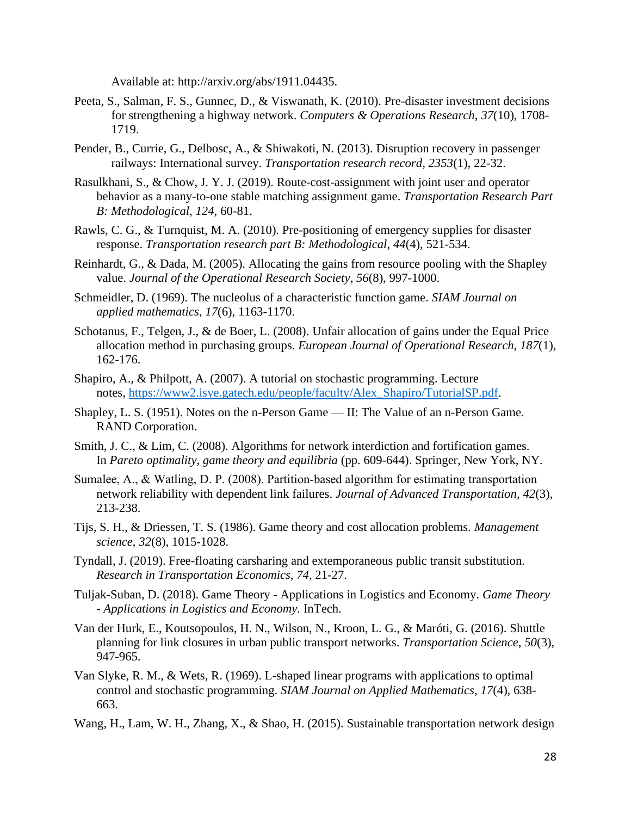Available at: http://arxiv.org/abs/1911.04435.

- Peeta, S., Salman, F. S., Gunnec, D., & Viswanath, K. (2010). Pre-disaster investment decisions for strengthening a highway network. *Computers & Operations Research*, *37*(10), 1708- 1719.
- Pender, B., Currie, G., Delbosc, A., & Shiwakoti, N. (2013). Disruption recovery in passenger railways: International survey. *Transportation research record*, *2353*(1), 22-32.
- Rasulkhani, S., & Chow, J. Y. J. (2019). Route-cost-assignment with joint user and operator behavior as a many-to-one stable matching assignment game. *Transportation Research Part B: Methodological*, *124*, 60-81.
- Rawls, C. G., & Turnquist, M. A. (2010). Pre-positioning of emergency supplies for disaster response. *Transportation research part B: Methodological*, *44*(4), 521-534.
- Reinhardt, G., & Dada, M. (2005). Allocating the gains from resource pooling with the Shapley value. *Journal of the Operational Research Society*, *56*(8), 997-1000.
- Schmeidler, D. (1969). The nucleolus of a characteristic function game. *SIAM Journal on applied mathematics*, *17*(6), 1163-1170.
- Schotanus, F., Telgen, J., & de Boer, L. (2008). Unfair allocation of gains under the Equal Price allocation method in purchasing groups. *European Journal of Operational Research*, *187*(1), 162-176.
- Shapiro, A., & Philpott, A. (2007). A tutorial on stochastic programming. Lecture notes, [https://www2.isye.gatech.edu/people/faculty/Alex\\_Shapiro/TutorialSP.pdf.](https://www2.isye.gatech.edu/people/faculty/Alex_Shapiro/TutorialSP.pdf)
- Shapley, L. S. (1951). Notes on the n-Person Game II: The Value of an n-Person Game. RAND Corporation.
- Smith, J. C., & Lim, C. (2008). Algorithms for network interdiction and fortification games. In *Pareto optimality, game theory and equilibria* (pp. 609-644). Springer, New York, NY.
- Sumalee, A., & Watling, D. P. (2008). Partition‐based algorithm for estimating transportation network reliability with dependent link failures. *Journal of Advanced Transportation*, *42*(3), 213-238.
- Tijs, S. H., & Driessen, T. S. (1986). Game theory and cost allocation problems. *Management science*, *32*(8), 1015-1028.
- Tyndall, J. (2019). Free-floating carsharing and extemporaneous public transit substitution. *Research in Transportation Economics*, *74*, 21-27.
- Tuljak-Suban, D. (2018). Game Theory Applications in Logistics and Economy. *Game Theory - Applications in Logistics and Economy.* InTech.
- Van der Hurk, E., Koutsopoulos, H. N., Wilson, N., Kroon, L. G., & Maróti, G. (2016). Shuttle planning for link closures in urban public transport networks. *Transportation Science*, *50*(3), 947-965.
- Van Slyke, R. M., & Wets, R. (1969). L-shaped linear programs with applications to optimal control and stochastic programming. *SIAM Journal on Applied Mathematics*, *17*(4), 638- 663.
- Wang, H., Lam, W. H., Zhang, X., & Shao, H. (2015). Sustainable transportation network design